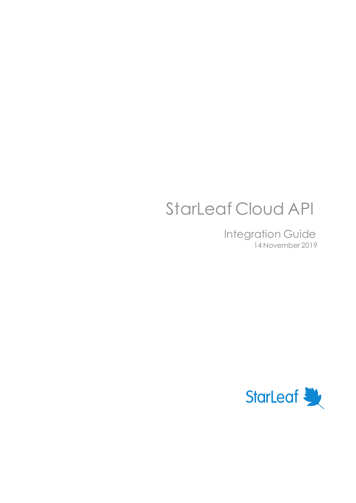# StarLeaf Cloud API

Integration Guide 14 November 2019

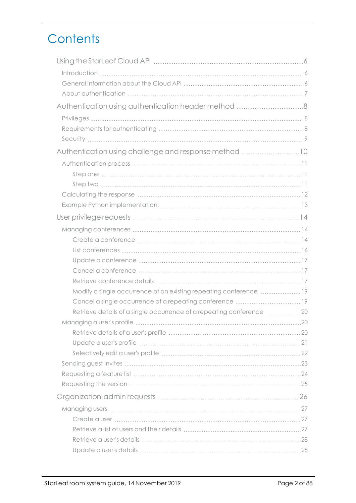## **Contents**

| Authentication using authentication header method 8                  |  |
|----------------------------------------------------------------------|--|
|                                                                      |  |
|                                                                      |  |
|                                                                      |  |
| Authentication using challenge and response method 10                |  |
|                                                                      |  |
|                                                                      |  |
|                                                                      |  |
|                                                                      |  |
|                                                                      |  |
|                                                                      |  |
|                                                                      |  |
|                                                                      |  |
|                                                                      |  |
|                                                                      |  |
|                                                                      |  |
|                                                                      |  |
| Modify a single occurrence of an existing repeating conference  19   |  |
| Cancel a single occurrence of a repeating conference 19              |  |
| Retrieve details of a single occurrence of a repeating conference 20 |  |
|                                                                      |  |
|                                                                      |  |
|                                                                      |  |
|                                                                      |  |
|                                                                      |  |
|                                                                      |  |
|                                                                      |  |
|                                                                      |  |
|                                                                      |  |
|                                                                      |  |
|                                                                      |  |
|                                                                      |  |
|                                                                      |  |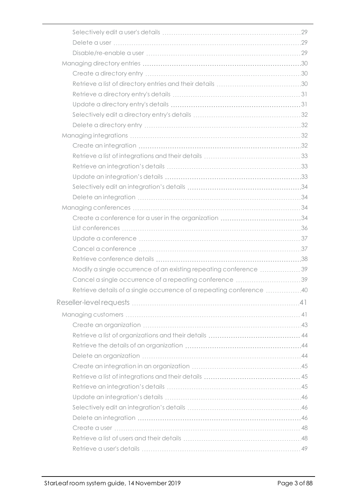| Modify a single occurrence of an existing repeating conference 39    |  |
|----------------------------------------------------------------------|--|
| Cancel a single occurrence of a repeating conference 39              |  |
| Retrieve details of a single occurrence of a repeating conference 40 |  |
|                                                                      |  |
|                                                                      |  |
|                                                                      |  |
|                                                                      |  |
|                                                                      |  |
|                                                                      |  |
|                                                                      |  |
|                                                                      |  |
|                                                                      |  |
|                                                                      |  |
|                                                                      |  |
|                                                                      |  |
|                                                                      |  |
|                                                                      |  |
|                                                                      |  |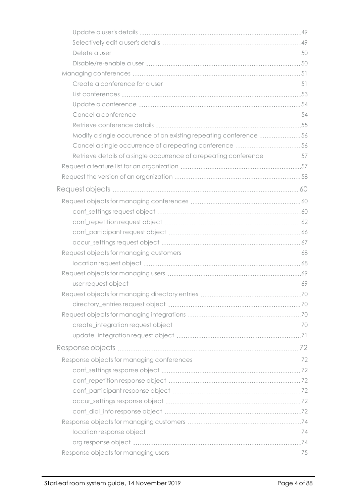| Modify a single occurrence of an existing repeating conference 56    |      |
|----------------------------------------------------------------------|------|
| Cancel a single occurrence of a repeating conference 56              |      |
| Retrieve details of a single occurrence of a repeating conference 57 |      |
|                                                                      |      |
|                                                                      |      |
|                                                                      |      |
|                                                                      |      |
|                                                                      |      |
|                                                                      |      |
|                                                                      |      |
|                                                                      |      |
|                                                                      |      |
|                                                                      |      |
|                                                                      |      |
|                                                                      |      |
| Request objects for managing directory entries                       | . 70 |
|                                                                      |      |
|                                                                      |      |
|                                                                      |      |
|                                                                      |      |
|                                                                      |      |
|                                                                      |      |
|                                                                      |      |
|                                                                      |      |
|                                                                      |      |
|                                                                      |      |
|                                                                      |      |
|                                                                      |      |
|                                                                      |      |
|                                                                      |      |
|                                                                      |      |
|                                                                      |      |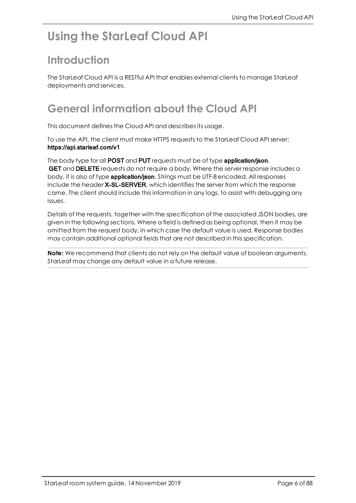## <span id="page-5-1"></span><span id="page-5-0"></span>**Using the StarLeaf Cloud API**

## **Introduction**

The StarLeaf Cloud API is a RESTful API that enables external clients to manage StarLeaf deployments and services.

## <span id="page-5-2"></span>**General information about the Cloud API**

This document defines the Cloud API and describes its usage.

To use the API, the client must make HTTPS requests to the StarLeaf Cloud API server: https://api.starleaf.com/v1

The body type for all **POST** and **PUT** requests must be of type **application/ison.** GET and DELETE requests do not require a body. Where the server response includes a body, it is also of type **application/json**. Strings must be UTF-8 encoded. All responses include the header X-SL-SERVER, which identifies the server from which the response came. The client should include this information in any logs, to assist with debugging any issues.

Details of the requests, together with the specification of the associated JSON bodies, are given in the following sections. Where a field is defined as being optional, then it may be omitted from the request body, in which case the default value is used. Response bodies may contain additional optional fields that are not described in this specification.

**Note:** We recommend that clients do not rely on the default value of boolean arguments. StarLeaf may change any default value in a future release.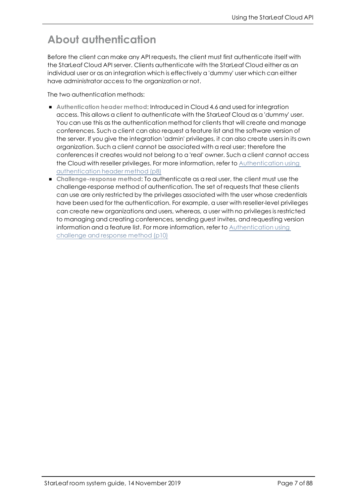## <span id="page-6-0"></span>**About authentication**

Before the client can make any API requests, the client must first authenticate itself with the StarLeaf Cloud API server. Clients authenticate with the StarLeaf Cloud either as an individual user or as an integration which is effectively a 'dummy' user which can either have administrator access to the organization or not.

The two authentication methods:

- <sup>n</sup> **Authentication header method**: Introduced in Cloud 4.6 and used for integration access. This allows a client to authenticate with the StarLeaf Cloud as a 'dummy' user. You can use this as the authentication method for clients that will create and manage conferences. Such a client can also request a feature list and the software version of the server. If you give the integration 'admin' privileges, it can also create users in its own organization. Such a client cannot be associated with a real user; therefore the conferences it creates would not belong to a 'real' owner. Such a client cannot access the Cloud with reseller privileges. For more information, refer to [Authentication](#page-7-0) using [authentication](#page-7-0) header method (p8)
- <sup>n</sup> **Challenge-response method**: To authenticate as a real user, the client must use the challenge-response method of authentication. The set of requests that these clients can use are only restricted by the privileges associated with the user whose credentials have been used for the authentication. For example, a user with reseller-level privileges can create new organizations and users, whereas, a user with no privileges is restricted to managing and creating conferences, sending guest invites, and requesting version information and a feature list. For more information, refer to [Authentication](#page-9-0) using [challenge](#page-9-0) and response method (p10)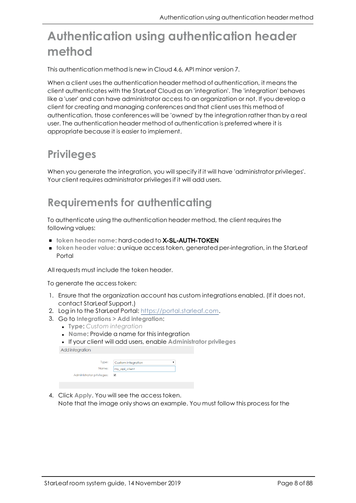## <span id="page-7-0"></span>**Authentication using authentication header method**

This authentication method is new in Cloud 4.6, API minor version 7.

When a client uses the authentication header method of authentication, it means the client authenticates with the StarLeaf Cloud as an 'integration'. The 'integration' behaves like a 'user' and can have administrator access to an organization or not. If you develop a client for creating and managing conferences and that client uses this method of authentication, those conferences will be 'owned' by the integration rather than by a real user. The authentication header method of authentication is preferred where it is appropriate because it is easier to implement.

## <span id="page-7-1"></span>**Privileges**

<span id="page-7-2"></span>When you generate the integration, you will specify if it will have 'administrator privileges'. Your client requires administrator privileges if it will add users.

## **Requirements for authenticating**

To authenticate using the authentication header method, the client requires the following values:

- <sup>n</sup> **token header name**: hard-coded to X-SL-AUTH-TOKEN
- <sup>n</sup> **token header value**: a unique access token, generated per-integration, in the StarLeaf Portal

All requests must include the token header.

To generate the access token:

- 1. Ensure that the organization account has custom integrations enabled. (If it does not, contact StarLeaf Support.)
- 2. Log in to the StarLeaf Portal: [https://portal.starleaf.com](https://portal.starleaf.com/).
- 3. Go to **Integrations > Add integration**:
	- <sup>l</sup> **Type**: *Custom integration*
	- **Name: Provide a name for this integration**

<sup>l</sup> If your client will add users, enable **Administrator privileges** Add integration

| Type:                     | Custom integration |  |
|---------------------------|--------------------|--|
| Name:                     | my_api_client      |  |
| Administrator privileges: |                    |  |
|                           |                    |  |

4. Click **Apply**. You will see the access token. Note that the image only shows an example. You must follow this process for the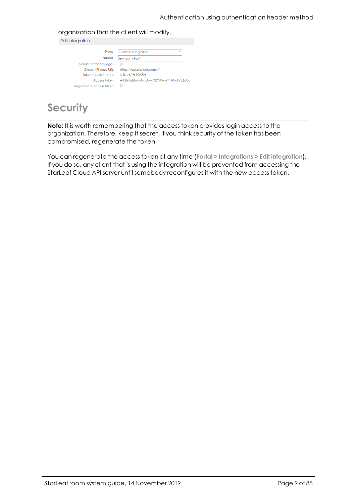organization that the client will modify.<br>Edit integration

| all integration           |                                         |
|---------------------------|-----------------------------------------|
|                           |                                         |
| Type:                     | <b>Custom integration</b><br>v          |
| Name:                     | my api client                           |
| Administrator privileges: |                                         |
| Cloud API base URL:       | https://api.starleaf.com/v1             |
| Token header name:        | X-SI-AUTH-TOKEN                         |
| Access token:             | AA6fniabiirmv3isvAxwCIDVPwpY4R0w3Vy2dUq |
| Regenerate access token:  |                                         |
|                           |                                         |

## <span id="page-8-0"></span>**Security**

**Note:** It is worth remembering that the access token provides login access to the organization. Therefore, keep it secret. If you think security of the token has been compromised, regenerate the token.

You can regenerate the access token at any time (**Portal > Integrations > Edit integration**). If you do so, any client that is using the integration will be prevented from accessing the StarLeaf Cloud API server until somebody reconfigures it with the new access token.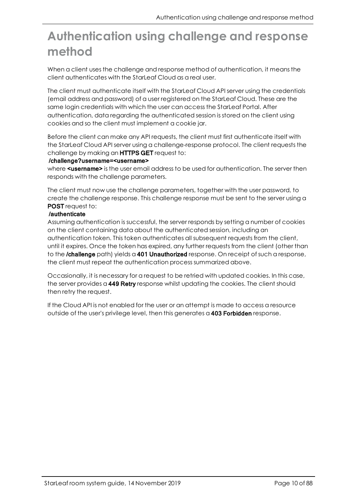## <span id="page-9-0"></span>**Authentication using challenge and response method**

When a client uses the challenge and response method of authentication, it means the client authenticates with the StarLeaf Cloud as a real user.

The client must authenticate itself with the StarLeaf Cloud API server using the credentials (email address and password) of a user registered on the StarLeaf Cloud. These are the same login credentials with which the user can access the StarLeaf Portal. After authentication, data regarding the authenticated session is stored on the client using cookies and so the client must implement a cookie jar.

Before the client can make any API requests, the client must first authenticate itself with the StarLeaf Cloud API server using a challenge-response protocol. The client requests the challenge by making an HTTPS GET request to:

#### /challenge?username=<username>

where **<username>** is the user email address to be used for authentication. The server then responds with the challenge parameters.

The client must now use the challenge parameters, together with the user password, to create the challenge response. This challenge response must be sent to the server using a POST request to:

#### /authenticate

Assuming authentication is successful, the server responds by setting a number of cookies on the client containing data about the authenticated session, including an authentication token. This token authenticates all subsequent requests from the client, until it expires. Once the token has expired, any further requests from the client (other than to the *Ichallenge* path) yields a 401 Unauthorized response. On receipt of such a response, the client must repeat the authentication process summarized above.

Occasionally, it is necessary for a request to be retried with updated cookies. In this case, the server provides a 449 Retry response whilst updating the cookies. The client should then retry the request.

If the Cloud API is not enabled for the user or an attempt is made to access a resource outside of the user's privilege level, then this generates a 403 Forbidden response.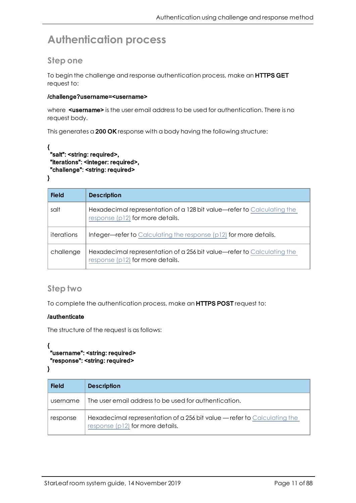## <span id="page-10-1"></span><span id="page-10-0"></span>**Authentication process**

## **Step one**

To begin the challenge and response authentication process, make an HTTPS GET request to:

#### /challenge?username=<username>

where **<username>** is the user email address to be used for authentication. There is no request body.

This generates a 200 OK response with a body having the following structure:

#### { "salt": <string: required>, "iterations": <integer: required>, "challenge": <string: required>

}

| <b>Field</b> | <b>Description</b>                                                                                         |
|--------------|------------------------------------------------------------------------------------------------------------|
| salt         | Hexadecimal representation of a 128 bit value—refer to Calculating the<br>response (p12) for more details. |
| iterations   | Integer-refer to Calculating the response (p12) for more details.                                          |
| challenge    | Hexadecimal representation of a 256 bit value-refer to Calculating the<br>response (p12) for more details. |

### <span id="page-10-2"></span>**Step two**

To complete the authentication process, make an HTTPS POST request to:

#### /authenticate

The structure of the request is as follows:

```
{ 
"username": <string: required>
"response": <string: required>
```

```
}
```

| <b>Field</b> | <b>Description</b>                                                                                           |
|--------------|--------------------------------------------------------------------------------------------------------------|
| username     | The user email address to be used for authentication.                                                        |
| response     | Hexadecimal representation of a 256 bit value - refer to Calculating the<br>response (p12) for more details. |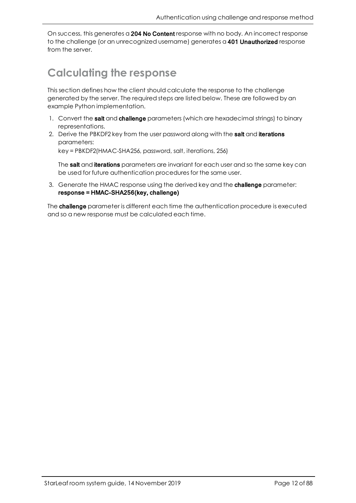<span id="page-11-0"></span>On success, this generates a 204 No Content response with no body. An incorrect response to the challenge (or an unrecognized username) generates a 401 Unauthorized response from the server.

## **Calculating the response**

This section defines how the client should calculate the response to the challenge generated by the server. The required steps are listed below. These are followed by an example Python implementation.

- 1. Convert the **salt** and **challenge** parameters (which are hexadecimal strings) to binary representations.
- 2. Derive the PBKDF2 key from the user password along with the salt and iterations parameters:

key = PBKDF2(HMAC-SHA256, password, salt, iterations, 256)

The salt and iterations parameters are invariant for each user and so the same key can be used for future authentication procedures for the same user.

3. Generate the HMAC response using the derived key and the **challenge** parameter: response = HMAC-SHA256(key, challenge)

The **challenge** parameter is different each time the authentication procedure is executed and so a new response must be calculated each time.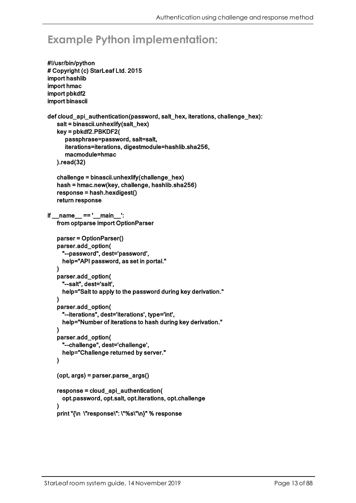## <span id="page-12-0"></span>**Example Python implementation:**

```
#!/usr/bin/python
# Copyright (c) StarLeaf Ltd. 2015
import hashlib
import hmac
import pbkdf2
import binascii
def cloud_api_authentication(password, salt_hex, iterations, challenge_hex):
   salt = binascii.unhexlify(salt<sub>hex</sub>)key = pbkdf2.PBKDF2(
      passphrase=password, salt=salt,
      iterations=iterations, digestmodule=hashlib.sha256,
      macmodule=hmac
   ).read(32)
   challenge = binascii.unhexlify(challenge_hex)
   hash = hmac.new(key, challenge, hashlib.sha256)
   response = hash.hexdigest()
   return response
if __name__ == '__main__':
   from optparse import OptionParser
   parser = OptionParser()
   parser.add_option(
     "--password", dest='password',
     help="API password, as set in portal."
   )
   parser.add_option(
     "--salt", dest='salt',
     help="Salt to apply to the password during key derivation."
   )
   parser.add_option(
     "--iterations", dest='iterations', type='int',
     help="Number of iterations to hash during key derivation."
   )
   parser.add_option(
     "--challenge", dest='challenge',
     help="Challenge returned by server."
   )
   (opt, args) = parser.parse_args()
   response = cloud_api_authentication(
     opt.password, opt.salt, opt.iterations, opt.challenge
   )
   print "{\n \"response\": \"%s\"\n}" % response
```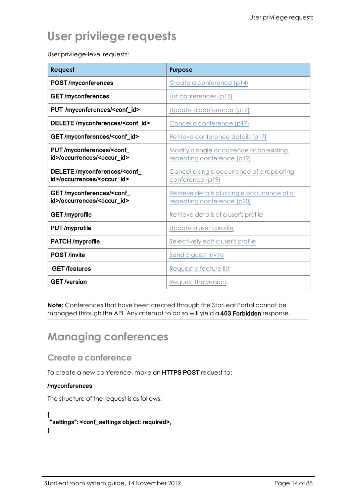## <span id="page-13-0"></span>**User privilege requests**

User privilege-level requests:

| Request                                                                           | <b>Purpose</b>                                                             |
|-----------------------------------------------------------------------------------|----------------------------------------------------------------------------|
| <b>POST/myconferences</b>                                                         | Create a conference (p14)                                                  |
| <b>GET/myconferences</b>                                                          | List conferences (p16)                                                     |
| PUT /myconferences/ <conf_id></conf_id>                                           | Update a conference (p17)                                                  |
| DELETE/myconferences/ <conf_id></conf_id>                                         | Cancel a conference (p17)                                                  |
| GET/myconferences/ <conf_id></conf_id>                                            | Retrieve conference details (p17)                                          |
| PUT/myconferences/ <conf_<br>id&gt;/occurrences/<occur_id></occur_id></conf_<br>  | Modify a single occurrence of an existing<br>repeating conference (p19)    |
| DELETE/myconferences/ <conf<br>id&gt;/occurrences/<occur_id></occur_id></conf<br> | Cancel a single occurrence of a repeating<br>conference (p19)              |
| GET/myconferences/ <conf_<br>id&gt;/occurrences/<occur_id></occur_id></conf_<br>  | Retrieve details of a single occurrence of a<br>repeating conference (p20) |
| <b>GET/myprofile</b>                                                              | Retrieve details of a user's profile                                       |
| PUT/myprofile                                                                     | Update a user's profile                                                    |
| <b>PATCH/myprofile</b>                                                            | Selectively edit a user's profile                                          |
| <b>POST</b> /invite                                                               | Send a guest invite                                                        |
| <b>GET/features</b>                                                               | Request a feature list                                                     |
| <b>GET</b> /version                                                               | Request the version                                                        |

**Note:** Conferences that have been created through the StarLeaf Portal cannot be managed through the API. Any attempt to do so will yield a 403 Forbidden response.

## <span id="page-13-2"></span><span id="page-13-1"></span>**Managing conferences**

**Create a conference**

To create a new conference, make an HTTPS POST request to:

#### /myconferences

The structure of the request is as follows:

```
{ 
 "settings": <conf_settings object: required>,
}
```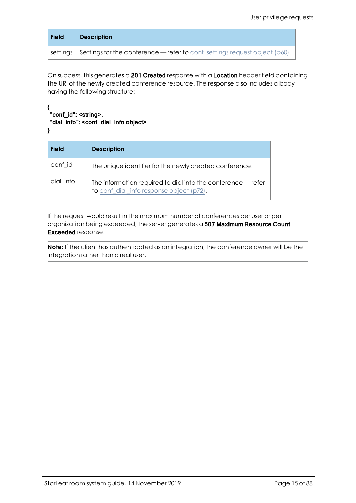| <b>Field</b> | <b>Description</b>                                                                         |
|--------------|--------------------------------------------------------------------------------------------|
|              | settings $\mid$ Settings for the conference — refer to conf_settings request object (p60). |

On success, this generates a 201 Created response with a Location header field containing the URI of the newly created conference resource. The response also includes a body having the following structure:

#### { "conf\_id": <string>, "dial\_info": <conf\_dial\_info object> }

| <b>Field</b> | <b>Description</b>                                                                                       |
|--------------|----------------------------------------------------------------------------------------------------------|
| conf_id      | The unique identifier for the newly created conference.                                                  |
| dial_info    | The information required to dial into the conference — refer<br>to conf_dial_info response object (p72). |

If the request would result in the maximum number of conferences per user or per organization being exceeded, the server generates a 507 Maximum Resource Count Exceeded response.

**Note:** If the client has authenticated as an integration, the conference owner will be the integration rather than a real user.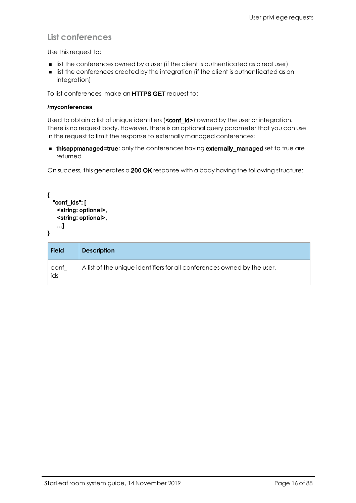## <span id="page-15-0"></span>**List conferences**

Use this request to:

- **n** list the conferences owned by a user (if the client is authenticated as a real user)
- <sup>n</sup> list the conferences created by the integration (if the client is authenticated as an integration)

To list conferences, make an HTTPS GET request to:

#### /myconferences

Used to obtain a list of unique identifiers (**<conf\_id>)** owned by the user or integration. There is no request body. However, there is an optional query parameter that you can use in the request to limit the response to externally managed conferences:

**n thisappmanaged=true:** only the conferences having **externally\_managed** set to true are returned

On success, this generates a 200 OK response with a body having the following structure:

```
{
  "conf_ids": [
   <string: optional>,
   <string: optional>,
   ...]
```
}

| <b>Field</b> | <b>Description</b>                                                      |
|--------------|-------------------------------------------------------------------------|
| conf<br>ids  | A list of the unique identifiers for all conferences owned by the user. |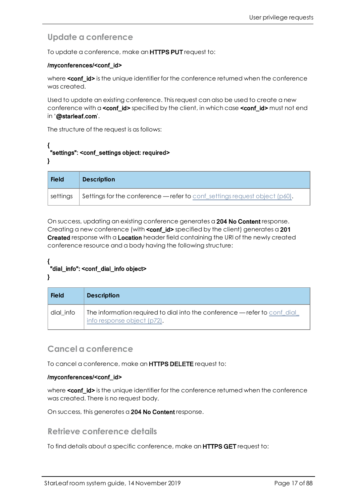## <span id="page-16-0"></span>**Update a conference**

To update a conference, make an **HTTPS PUT** request to:

#### /myconferences/<conf\_id>

where **conf\_id>** is the unique identifier for the conference returned when the conference was created.

Used to update an existing conference. This request can also be used to create a new conference with a **<conf**  $id$ > specified by the client, in which case **<conf**  $id$ > must not end in '@starleaf.com'.

The structure of the request is as follows:

#### { "settings": <conf\_settings object: required> }

| <b>Field</b> | <b>Description</b>                                                            |
|--------------|-------------------------------------------------------------------------------|
| settings     | Settings for the conference — refer to conf_settings request object $(p60)$ . |

On success, updating an existing conference generates a 204 No Content response. Creating a new conference (with **conf\_id>** specified by the client) generates a 201 Created response with a Location header field containing the URI of the newly created conference resource and a body having the following structure:

#### { "dial\_info": <conf\_dial\_info object> }

| <b>Field</b> | <b>Description</b>                                                                                      |
|--------------|---------------------------------------------------------------------------------------------------------|
| dial info    | The information required to dial into the conference - refer to conferal<br>info response object (p72). |

### <span id="page-16-1"></span>**Cancel a conference**

To cancel a conference, make an **HTTPS DELETE** request to:

#### /myconferences/<conf\_id>

where **<conf id>** is the unique identifier for the conference returned when the conference was created. There is no request body.

<span id="page-16-2"></span>On success, this generates a 204 No Content response.

### **Retrieve conference details**

To find details about a specific conference, make an HTTPS GET request to: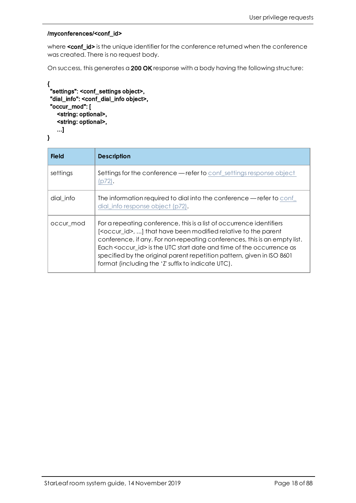#### /myconferences/<conf\_id>

where <conf\_id> is the unique identifier for the conference returned when the conference was created. There is no request body.

On success, this generates a 200 OK response with a body having the following structure:

```
{ 
 "settings": <conf_settings object>,
 "dial_info": <conf_dial_info object>,
 "occur_mod": [
   <string: optional>,
   <string: optional>,
   ...]
}
```

| <b>Field</b> | <b>Description</b>                                                                                                                                                                                                                                                                                                                                                                                                                                   |
|--------------|------------------------------------------------------------------------------------------------------------------------------------------------------------------------------------------------------------------------------------------------------------------------------------------------------------------------------------------------------------------------------------------------------------------------------------------------------|
| settings     | <b>Settings for the conference — refer to conf_settings response object</b><br>(p72).                                                                                                                                                                                                                                                                                                                                                                |
| dial info    | The information required to dial into the conference — refer to conf<br>dial info response object (p72).                                                                                                                                                                                                                                                                                                                                             |
| occur_mod    | For a repeating conference, this is a list of occurrence identifiers<br>[ <occur_id>, ] that have been modified relative to the parent<br/>conference, if any. For non-repeating conferences, this is an empty list.<br/>Each <occur id=""> is the UTC start date and time of the occurrence as<br/>specified by the original parent repetition pattern, given in ISO 8601<br/>format (including the 'Z' suffix to indicate UTC).</occur></occur_id> |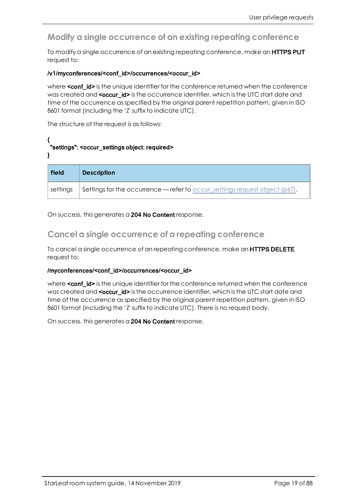## <span id="page-18-0"></span>**Modify a single occurrence of an existing repeating conference**

To modify a single occurrence of an existing repeating conference, make an **HTTPS PUT** request to:

#### /v1/myconferences/<conf\_id>/occurrences/<occur\_id>

where **<conf\_id>** is the unique identifier for the conference returned when the conference was created and <occur\_id> is the occurrence identifier, which is the UTC start date and time of the occurrence as specified by the original parent repetition pattern, given in ISO 8601 format (including the 'Z' suffix to indicate UTC).

The structure of the request is as follows:

#### { "settings": <occur\_settings object: required> }

| <b>Field</b> | <b>Description</b>                                                              |
|--------------|---------------------------------------------------------------------------------|
| settings     | Settings for the occurrence — refer to occur_settings request object ( $p67$ ). |

<span id="page-18-1"></span>On success, this generates a 204 No Content response.

### **Cancel a single occurrence of a repeating conference**

To cancel a single occurrence of an repeating conference, make an **HTTPS DELETE** request to:

#### /myconferences/<conf\_id>/occurrences/<occur\_id>

where **conf\_id>** is the unique identifier for the conference returned when the conference was created and <occur  $id$ > is the occurrence identifier, which is the UTC start date and time of the occurrence as specified by the original parent repetition pattern, given in ISO 8601 format (including the 'Z' suffix to indicate UTC). There is no request body.

On success, this generates a 204 No Content response.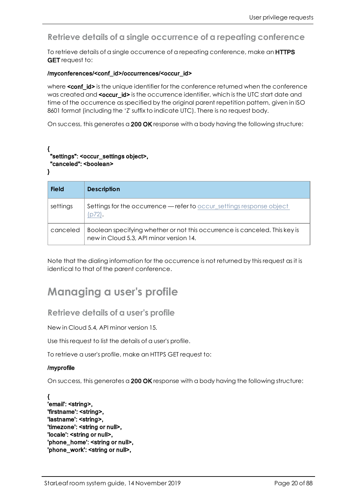## <span id="page-19-0"></span>**Retrieve details of a single occurrence of a repeating conference**

To retrieve details of a single occurrence of a repeating conference, make an **HTTPS GET** request to:

#### /myconferences/<conf\_id>/occurrences/<occur\_id>

where **<conf\_id>** is the unique identifier for the conference returned when the conference was created and <occur\_id> is the occurrence identifier, which is the UTC start date and time of the occurrence as specified by the original parent repetition pattern, given in ISO 8601 format (including the 'Z' suffix to indicate UTC). There is no request body.

On success, this generates a 200 OK response with a body having the following structure:

#### { "settings": <occur\_settings object>, "canceled": <boolean> }

| <b>Field</b> | <b>Description</b>                                                                                                    |
|--------------|-----------------------------------------------------------------------------------------------------------------------|
| settings     | Settings for the occurrence - refer to occur_settings response object<br>(p72).                                       |
| canceled     | Boolean specifying whether or not this occurrence is canceled. This key is<br>new in Cloud 5.3, API minor version 14. |

Note that the dialing information for the occurrence is not returned by this request as it is identical to that of the parent conference.

## <span id="page-19-2"></span><span id="page-19-1"></span>**Managing a user's profile**

### **Retrieve details of a user's profile**

New in Cloud 5.4, API minor version 15.

Use this request to list the details of a user's profile.

To retrieve a user's profile, make an HTTPS GET request to:

#### /myprofile

On success, this generates a 200 OK response with a body having the following structure:

{ 'email': <string>, 'firstname': <string>, 'lastname': <string>, 'timezone': <string or null>, 'locale': <string or null>, 'phone\_home': <string or null>, 'phone\_work': <string or null>,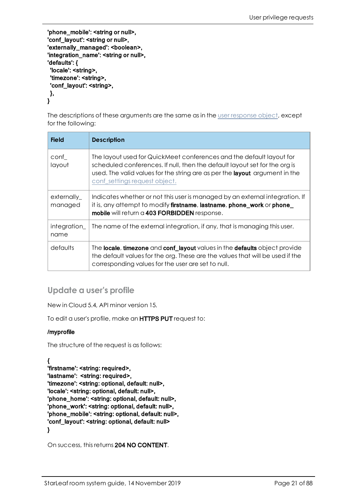'phone\_mobile': <string or null>, 'conf\_layout': <string or null>, 'externally\_managed': <boolean>, 'integration\_name': <string or null>, 'defaults': { 'locale': <string>, 'timezone': <string>, 'conf\_layout': <string>, }, }

The descriptions of these arguments are the same as in the user [response](#page-68-2) object, except for the following:

| <b>Field</b>           | <b>Description</b>                                                                                                                                                                                                                                                        |
|------------------------|---------------------------------------------------------------------------------------------------------------------------------------------------------------------------------------------------------------------------------------------------------------------------|
| conf<br>layout         | The layout used for QuickMeet conferences and the default layout for<br>scheduled conferences. If null, then the default layout set for the org is<br>used. The valid values for the string are as per the <b>layout</b> argument in the<br>conf_settings request object. |
| externally_<br>managed | Indicates whether or not this user is managed by an external integration. If<br>it is, any attempt to modify <b>firstname</b> , <b>lastname</b> , <b>phone_work</b> or <b>phone_</b><br>mobile will return a 403 FORBIDDEN response.                                      |
| integration_<br>name   | The name of the external integration, if any, that is managing this user.                                                                                                                                                                                                 |
| defaults               | The locale, timezone and conf_layout values in the defaults object provide<br>the default values for the org. These are the values that will be used if the<br>corresponding values for the user are set to null.                                                         |

## <span id="page-20-0"></span>**Update a user's profile**

New in Cloud 5.4, API minor version 15.

To edit a user's profile, make an HTTPS PUT request to:

#### /myprofile

The structure of the request is as follows:

### {

'firstname': <string: required>, 'lastname': <string: required>, 'timezone': <string: optional, default: null>, 'locale': <string: optional, default: null>, 'phone\_home': <string: optional, default: null>, 'phone\_work': <string: optional, default: null>, 'phone\_mobile': <string: optional, default: null>, 'conf\_layout': <string: optional, default: null> }

On success, this returns 204 NO CONTENT.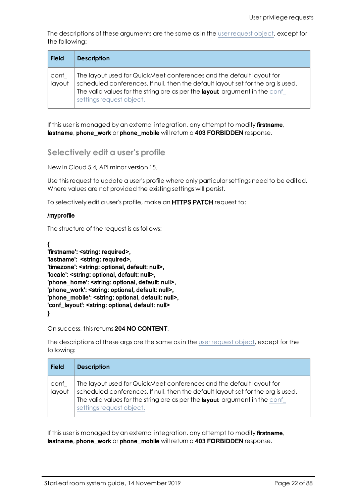The descriptions of these arguments are the same as in the user [request](#page-68-2) object, except for the following:

| <b>Field</b>   | <b>Description</b>                                                                                                                                                                                                                                                  |
|----------------|---------------------------------------------------------------------------------------------------------------------------------------------------------------------------------------------------------------------------------------------------------------------|
| conf<br>layout | The layout used for QuickMeet conferences and the default layout for<br>scheduled conferences. If null, then the default layout set for the org is used.<br>The valid values for the string are as per the layout argument in the conf_<br>settings request object. |

If this user is managed by an external integration, any attempt to modify firstname, lastname, phone\_work or phone\_mobile will return a 403 FORBIDDEN response.

### <span id="page-21-0"></span>**Selectively edit a user's profile**

New in Cloud 5.4, API minor version 15.

Use this request to update a user's profile where only particular settings need to be edited. Where values are not provided the existing settings will persist.

To selectively edit a user's profile, make an HTTPS PATCH request to:

#### /myprofile

The structure of the request is as follows:

```
{
'firstname': <string: required>,
'lastname': <string: required>,
'timezone': <string: optional, default: null>,
'locale': <string: optional, default: null>,
'phone_home': <string: optional, default: null>,
'phone_work': <string: optional, default: null>,
'phone_mobile': <string: optional, default: null>,
'conf_layout': <string: optional, default: null>
}
```
#### On success, this returns 204 NO CONTENT.

The descriptions of these args are the same as in the user [request](#page-68-2) object, except for the following:

| <b>Field</b>   | <b>Description</b>                                                                                                                                                                                                                                                 |
|----------------|--------------------------------------------------------------------------------------------------------------------------------------------------------------------------------------------------------------------------------------------------------------------|
| conf<br>layout | The layout used for QuickMeet conferences and the default layout for<br>scheduled conferences. If null, then the default layout set for the org is used.<br>The valid values for the string are as per the layout argument in the conf<br>settings request object. |

If this user is managed by an external integration, any attempt to modify **firstname**, lastname, phone work or phone mobile will return a 403 FORBIDDEN response.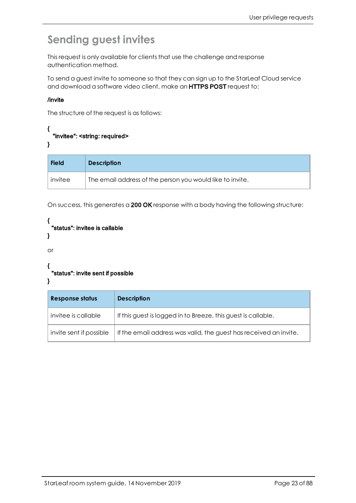## <span id="page-22-0"></span>**Sending guest invites**

This request is only available for clients that use the challenge and response authentication method.

To send a guest invite to someone so that they can sign up to the StarLeaf Cloud service and download a software video client, make an HTTPS POST request to:

#### /invite

The structure of the request is as follows:

```
{ 
  "invitee": <string: required>
}
```

| <b>Field</b> | <b>Description</b>                                        |
|--------------|-----------------------------------------------------------|
| invitee      | The email address of the person you would like to invite. |

On success, this generates a 200 OK response with a body having the following structure:

```
{ 
 "status": invitee is callable
}
```

```
or
```

```
{ 
 "status": invite sent if possible
```
### }

| <b>Response status</b>  | <b>Description</b>                                                |
|-------------------------|-------------------------------------------------------------------|
| invitee is callable     | If this guest is logged in to Breeze, this guest is callable.     |
| invite sent if possible | If the email address was valid, the guest has received an invite. |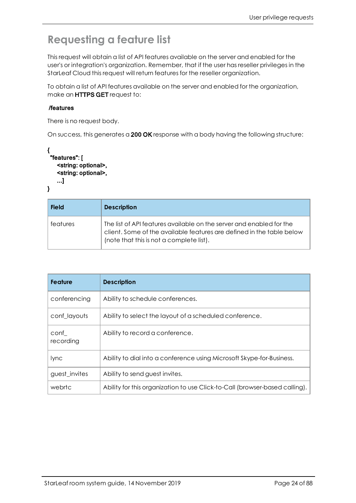## <span id="page-23-0"></span>**Requesting a feature list**

This request will obtain a list of API features available on the server and enabled for the user's or integration's organization. Remember, that if the user has reseller privileges in the StarLeaf Cloud this request will return features for the reseller organization.

To obtain a list of API features available on the server and enabled for the organization, make an HTTPS GET request to:

#### /features

There is no request body.

On success, this generates a 200 OK response with a body having the following structure:

```
{ 
 "features": [
    <string: optional>,
    <string: optional>,
    ...]
}
```

| <b>Field</b> | <b>Description</b>                                                                                                                                                                        |
|--------------|-------------------------------------------------------------------------------------------------------------------------------------------------------------------------------------------|
| features     | The list of API features available on the server and enabled for the<br>client. Some of the available features are defined in the table below<br>(note that this is not a complete list). |

| <b>Feature</b>    | <b>Description</b>                                                          |
|-------------------|-----------------------------------------------------------------------------|
| conferencing      | Ability to schedule conferences.                                            |
| conf layouts      | Ability to select the layout of a scheduled conference.                     |
| conf<br>recording | Ability to record a conference.                                             |
| lync              | Ability to dial into a conference using Microsoft Skype-for-Business.       |
| guest invites     | Ability to send guest invites.                                              |
| webrtc            | Ability for this organization to use Click-to-Call (browser-based calling). |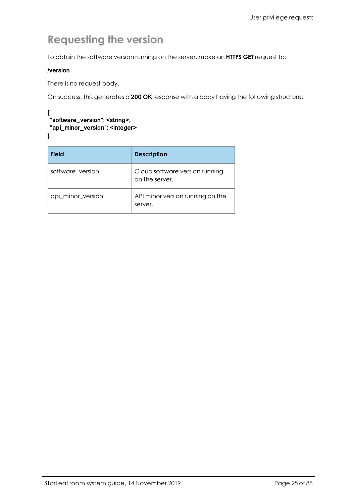## <span id="page-24-0"></span>**Requesting the version**

To obtain the software version running on the server, make an **HTTPS GET** request to:

#### /version

There is no request body.

On success, this generates a 200 OK response with a body having the following structure:

#### { "software\_version": <string>, "api\_minor\_version": <integer>

}

| <b>Field</b>      | <b>Description</b>                               |
|-------------------|--------------------------------------------------|
| software version  | Cloud software version running<br>on the server. |
| api_minor_version | API minor version running on the<br>server.      |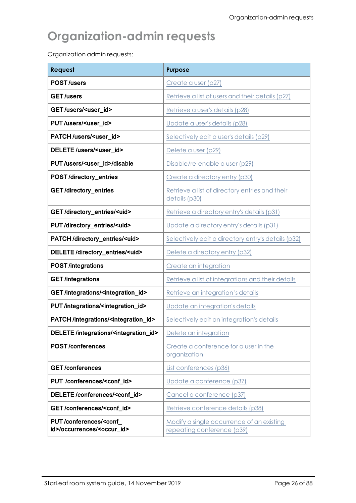## <span id="page-25-0"></span>**Organization-admin requests**

Organization admin requests:

| Request                                                                      | <b>Purpose</b>                                                          |
|------------------------------------------------------------------------------|-------------------------------------------------------------------------|
| <b>POST/users</b>                                                            | Create a user (p27)                                                     |
| <b>GET</b> /users                                                            | Retrieve a list of users and their details (p27)                        |
| GET/users/ <user_id></user_id>                                               | Retrieve a user's details (p28)                                         |
| PUT/users/ <user_id></user_id>                                               | Update a user's details (p28)                                           |
| PATCH/users/ <user_id></user_id>                                             | Selectively edit a user's details (p29)                                 |
| DELETE /users/ <user_id></user_id>                                           | Delete a user (p29)                                                     |
| PUT/users/ <user_id>/disable</user_id>                                       | Disable/re-enable a user (p29)                                          |
| POST/directory_entries                                                       | Create a directory entry (p30)                                          |
| <b>GET/directory_entries</b>                                                 | Retrieve a list of directory entries and their<br>details (p30)         |
| GET/directory_entries/ <uid></uid>                                           | Retrieve a directory entry's details (p31)                              |
| PUT/directory_entries/ <uid></uid>                                           | Update a directory entry's details (p31)                                |
| PATCH/directory_entries/ <uid></uid>                                         | Selectively edit a directory entry's details (p32)                      |
| DELETE/directory_entries/ <uid></uid>                                        | Delete a directory entry (p32)                                          |
| <b>POST</b> /integrations                                                    | Create an integration                                                   |
| <b>GET</b> /integrations                                                     | Retrieve a list of integrations and their details                       |
| GET/integrations/ <integration_id></integration_id>                          | Retrieve an integration's details                                       |
| PUT/integrations/ <integration_id></integration_id>                          | Update an integration's details                                         |
| PATCH/integrations/ <integration_id></integration_id>                        | Selectively edit an integration's details                               |
| DELETE/integrations/ <integration_id></integration_id>                       | Delete an integration                                                   |
| <b>POST/conferences</b>                                                      | Create a conference for a user in the<br>organization                   |
| <b>GET/conferences</b>                                                       | List conferences (p36)                                                  |
| PUT /conferences/ <conf_id></conf_id>                                        | Update a conference (p37)                                               |
| DELETE /conferences/ <conf_id></conf_id>                                     | Cancel a conference (p37)                                               |
| GET/conferences/ <conf_id></conf_id>                                         | Retrieve conference details (p38)                                       |
| PUT/conferences/ <conf<br>id&gt;/occurrences/<occur_id></occur_id></conf<br> | Modify a single occurrence of an existing<br>repeating conference (p39) |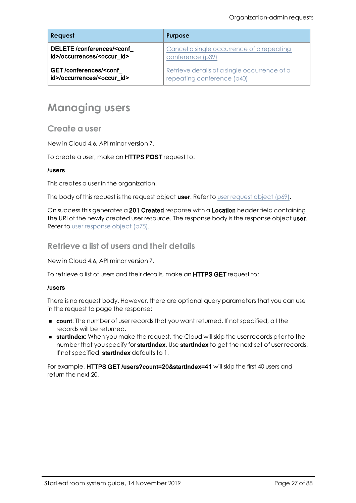| <b>Request</b>                                                                              | <b>Purpose</b>                               |
|---------------------------------------------------------------------------------------------|----------------------------------------------|
| DELETE/conferences/ <conf< th=""><th>Cancel a single occurrence of a repeating</th></conf<> | Cancel a single occurrence of a repeating    |
| id>/occurrences/ <occur id=""></occur>                                                      | conference (p39)                             |
| GET/conferences/ <conf< th=""><th>Retrieve details of a single occurrence of a</th></conf<> | Retrieve details of a single occurrence of a |
| id>/occurrences/ <occur_id></occur_id>                                                      | repeating conference (p40)                   |

## <span id="page-26-1"></span><span id="page-26-0"></span>**Managing users**

### **Create a user**

New in Cloud 4.6, API minor version 7.

To create a user, make an **HTTPS POST** request to:

#### /users

This creates a user in the organization.

The body of this [request](#page-68-1) is the request object user. Refer to user request object ( $p69$ ).

<span id="page-26-2"></span>On success this generates a 201 Created response with a Location header field containing the URI of the newly created user resource. The response body is the response object user. Refer to user [response](#page-74-1) object (p75).

### **Retrieve a list of users and their details**

New in Cloud 4.6, API minor version 7.

To retrieve a list of users and their details, make an HTTPS GET request to:

#### /users

There is no request body. However, there are optional query parameters that you can use in the request to page the response:

- **n** count: The number of user records that you want returned. If not specified, all the records will be returned.
- **startIndex:** When you make the request, the Cloud will skip the user records prior to the number that you specify for startIndex. Use startIndex to get the next set of user records. If not specified, startIndex defaults to 1.

For example, HTTPS GET /users?count=20&startIndex=41 will skip the first 40 users and return the next 20.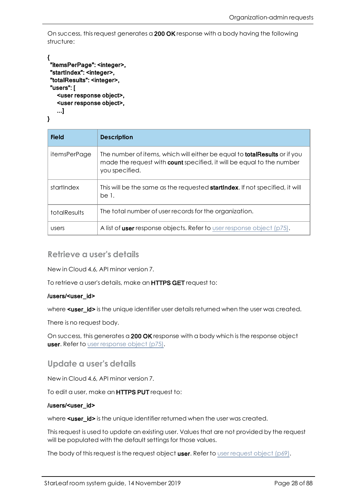On success, this request generates a 200 OK response with a body having the following structure:

```
{ 
"itemsPerPage": <integer>,
"startIndex": <integer>,
"totalResults": <integer>,
"users": [
   <user response object>,
   <user response object>,
   ...]
```
}

| <b>Field</b>        | <b>Description</b>                                                                                                                                                                 |
|---------------------|------------------------------------------------------------------------------------------------------------------------------------------------------------------------------------|
| <i>itemsPerPage</i> | The number of items, which will either be equal to <b>totalResults</b> or if you<br>made the request with <b>count</b> specified, it will be equal to the number<br>you specified. |
| startlndex          | This will be the same as the requested <b>startIndex</b> . If not specified, it will<br>be 1.                                                                                      |
| totalResults        | The total number of user records for the organization.                                                                                                                             |
| users               | A list of <b>user</b> response objects. Refer to user response object $(p75)$ .                                                                                                    |

### <span id="page-27-0"></span>**Retrieve a user's details**

New in Cloud 4.6, API minor version 7.

To retrieve a user's details, make an HTTPS GET request to:

#### /users/<user\_id>

where <user\_id> is the unique identifier user details returned when the user was created.

There is no request body.

<span id="page-27-1"></span>On success, this generates a 200 OK response with a body which is the response object **user.** Refer to user [response](#page-74-1) object (p75).

### **Update a user's details**

New in Cloud 4.6, API minor version 7.

To edit a user, make an HTTPS PUT request to:

#### /users/<user\_id>

where **<user** id> is the unique identifier returned when the user was created.

This request is used to update an existing user. Values that are not provided by the request will be populated with the default settings for those values.

The body of this [request](#page-68-1) is the request object user. Refer to user request object (p69).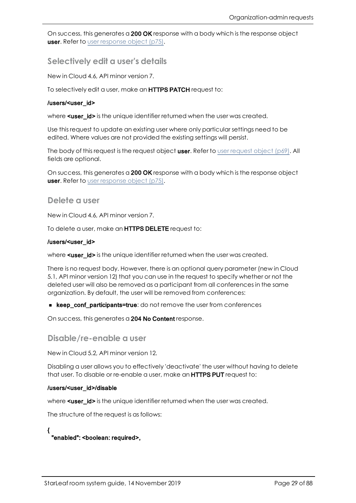<span id="page-28-0"></span>On success, this generates a 200 OK response with a body which is the response object **user.** Refer to user [response](#page-74-1) object (p75).

**Selectively edit a user's details**

New in Cloud 4.6, API minor version 7.

To selectively edit a user, make an HTTPS PATCH request to:

#### /users/<user\_id>

where **<user** id> is the unique identifier returned when the user was created.

Use this request to update an existing user where only particular settings need to be edited. Where values are not provided the existing settings will persist.

The body of this [request](#page-68-1) is the request object user. Refer to user request object (p69). All fields are optional.

<span id="page-28-1"></span>On success, this generates a 200 OK response with a body which is the response object **user.** Refer to user [response](#page-74-1) object (p75).

#### **Delete a user**

New in Cloud 4.6, API minor version 7.

To delete a user, make an HTTPS DELETE request to:

#### /users/<user\_id>

where <user\_id> is the unique identifier returned when the user was created.

There is no request body. However, there is an optional query parameter (new in Cloud 5.1, API minor version 12) that you can use in the request to specify whether or not the deleted user will also be removed as a participant from all conferences in the same organization. By default, the user will be removed from conferences:

**Example 2** keep conf participants=true: do not remove the user from conferences

<span id="page-28-2"></span>On success, this generates a 204 No Content response.

#### **Disable/re-enable a user**

New in Cloud 5.2, API minor version 12.

Disabling a user allows you to effectively 'deactivate' the user without having to delete that user. To disable or re-enable a user, make an **HTTPS PUT** request to:

#### /users/<user\_id>/disable

where **<user** id> is the unique identifier returned when the user was created.

The structure of the request is as follows:

{ "enabled": <boolean: required>,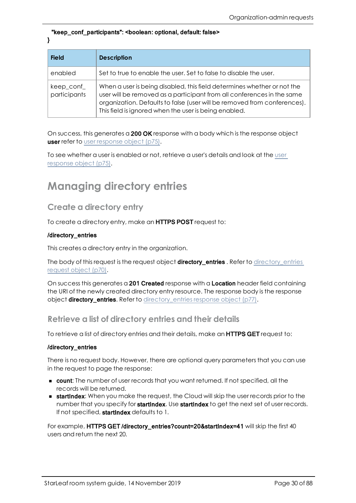#### "keep\_conf\_participants": <boolean: optional, default: false> }

| <b>Field</b>               | <b>Description</b>                                                                                                                                                                                                                                                                     |
|----------------------------|----------------------------------------------------------------------------------------------------------------------------------------------------------------------------------------------------------------------------------------------------------------------------------------|
| enabled                    | Set to true to enable the user. Set to false to disable the user.                                                                                                                                                                                                                      |
| keep_conf_<br>participants | When a user is being disabled, this field determines whether or not the<br>user will be removed as a participant from all conferences in the same<br>organization. Defaults to false (user will be removed from conferences).<br>This field is ignored when the user is being enabled. |

On success, this generates a 200 OK response with a body which is the response object **user refer to** user [response](#page-74-1) object (p75).

To see whether a user is enabled or not, retrieve a user's details and look at the [user](#page-74-1) [response](#page-74-1) object (p75).

## <span id="page-29-1"></span><span id="page-29-0"></span>**Managing directory entries**

## **Create a directory entry**

To create a directory entry, make an **HTTPS POST** request to:

#### /directory\_entries

This creates a directory entry in the organization.

The body of this request is the request object **[directory\\_entries](#page-69-1)** . Refer to directory\_entries [request](#page-69-1) object (p70).

<span id="page-29-2"></span>On success this generates a 201 Created response with a Location header field containing the URI of the newly created directory entry resource. The response body is the response object [directory\\_entries](#page-76-1). Refer to directory\_entries response object (p77).

### **Retrieve a list of directory entries and their details**

To retrieve a list of directory entries and their details, make an **HTTPS GET** request to:

#### /directory\_entries

There is no request body. However, there are optional query parameters that you can use in the request to page the response:

- **n** count: The number of user records that you want returned. If not specified, all the records will be returned.
- **startIndex:** When you make the request, the Cloud will skip the user records prior to the number that you specify for **startIndex**. Use **startIndex** to get the next set of user records. If not specified, startIndex defaults to 1.

For example, HTTPS GET /directory\_entries?count=20&startIndex=41 will skip the first 40 users and return the next 20.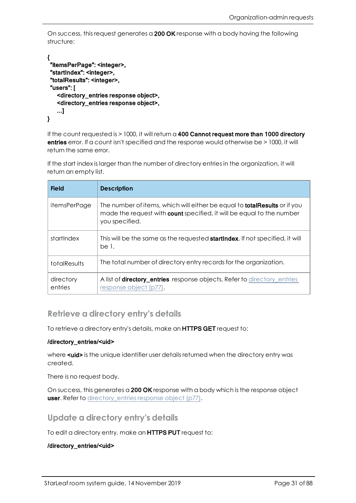On success, this request generates a 200 OK response with a body having the following structure:

```
{ 
 "itemsPerPage": <integer>,
 "startIndex": <integer>,
 "totalResults": <integer>,
 "users": [
   <directory_entries response object>,
   <directory_entries response object>,
   ...]
}
```
If the count requested is  $> 1000$ , it will return a 400 Cannot request more than 1000 directory entries error. If a count isn't specified and the response would otherwise be > 1000, it will return the same error.

If the start index is larger than the number of directory entries in the organization, it will return an empty list.

| <b>Field</b>         | <b>Description</b>                                                                                                                                                                 |
|----------------------|------------------------------------------------------------------------------------------------------------------------------------------------------------------------------------|
| <i>itemsPerPage</i>  | The number of items, which will either be equal to <b>totalResults</b> or if you<br>made the request with <b>count</b> specified, it will be equal to the number<br>you specified. |
| startlndex           | This will be the same as the requested <b>startlndex</b> . If not specified, it will<br>be 1.                                                                                      |
| <b>totalResults</b>  | The total number of directory entry records for the organization.                                                                                                                  |
| directory<br>entries | A list of <b>directory_entries</b> response objects. Refer to directory_entries<br>response object (p77).                                                                          |

### <span id="page-30-0"></span>**Retrieve a directory entry's details**

To retrieve a directory entry's details, make an **HTTPS GET** request to:

#### /directory\_entries/<uid>

where **<uid>** is the unique identifier user details returned when the directory entry was created.

There is no request body.

<span id="page-30-1"></span>On success, this generates a 200 OK response with a body which is the response object user. Refer to directory entries response object (p77).

### **Update a directory entry's details**

To edit a directory entry, make an HTTPS PUT request to:

#### /directory\_entries/<uid>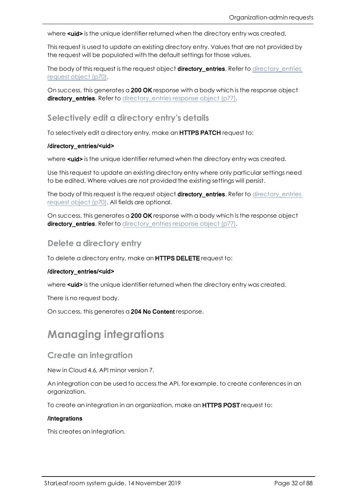where **suid>** is the unique identifier returned when the directory entry was created.

This request is used to update an existing directory entry. Values that are not provided by the request will be populated with the default settings for those values.

The body of this request is the request object **[directory\\_entries](#page-69-1)**. Refer to directory\_entries [request](#page-69-1) object (p70).

<span id="page-31-0"></span>On success, this generates a 200 OK response with a body which is the response object [directory\\_entries](#page-76-1). Refer to directory\_entries response object (p77).

### **Selectively edit a directory entry's details**

To selectively edit a directory entry, make an **HTTPS PATCH** request to:

#### /directory\_entries/<uid>

where **suid>** is the unique identifier returned when the directory entry was created.

Use this request to update an existing directory entry where only particular settings need to be edited. Where values are not provided the existing settings will persist.

The body of this request is the request object [directory\\_entries](#page-69-1). Refer to directory\_entries [request](#page-69-1) object (p70). All fields are optional.

<span id="page-31-1"></span>On success, this generates a 200 OK response with a body which is the response object [directory\\_entries](#page-76-1). Refer to directory\_entries response object (p77).

### **Delete a directory entry**

To delete a directory entry, make an HTTPS DELETE request to:

#### /directory\_entries/<uid>

where **<uid>** is the unique identifier returned when the directory entry was created.

There is no request body.

<span id="page-31-2"></span>On success, this generates a 204 No Content response.

## **Managing integrations**

### <span id="page-31-3"></span>**Create an integration**

New in Cloud 4.6, API minor version 7.

An integration can be used to access the API, for example, to create conferences in an organization.

To create an integration in an organization, make an **HTTPS POST** request to:

#### /integrations

This creates an integration.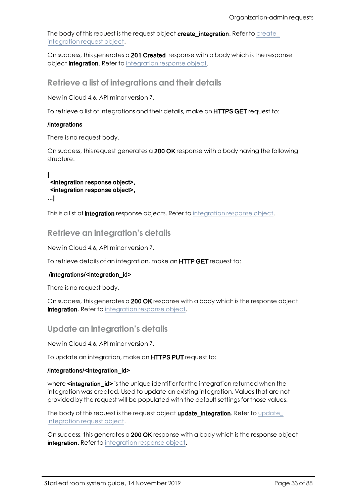The body of this request is the request object [create\\_](#page-69-4)integration. Refer to create\_ [integration](#page-69-4) request object.

On success, this generates a 201 Created response with a body which is the response object [integration](#page-78-2). Refer to integration response object.

### <span id="page-32-0"></span>**Retrieve a list of integrations and their details**

New in Cloud 4.6, API minor version 7.

To retrieve a list of integrations and their details, make an **HTTPS GET** request to:

#### /integrations

There is no request body.

On success, this request generates a 200 OK response with a body having the following structure:

 $\mathsf{L}$ <integration response object>, <integration response object>, ...]

<span id="page-32-1"></span>This is a list of [integration](#page-78-2) response objects. Refer to integration response object.

### **Retrieve an integration's details**

New in Cloud 4.6, API minor version 7.

To retrieve details of an integration, make an HTTP GET request to:

#### /integrations/<integration\_id>

There is no request body.

On success, this generates a 200 OK response with a body which is the response object [integration](#page-78-2). Refer to integration response object.

### <span id="page-32-2"></span>**Update an integration's details**

New in Cloud 4.6, API minor version 7.

To update an integration, make an **HTTPS PUT** request to:

#### /integrations/<integration\_id>

where **sintegration id>** is the unique identifier for the integration returned when the integration was created. Used to update an existing integration. Values that are not provided by the request will be populated with the default settings for those values.

The body of this request is the request object [update\\_](#page-70-1)integration. Refer to update\_ [integration](#page-70-1) request object.

On success, this generates a 200 OK response with a body which is the response object [integration](#page-78-2). Refer to integration response object.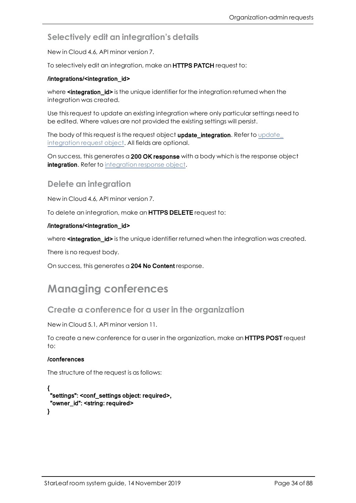## <span id="page-33-0"></span>**Selectively edit an integration's details**

New in Cloud 4.6, API minor version 7.

To selectively edit an integration, make an HTTPS PATCH request to:

#### /integrations/<integration\_id>

where **sintegration\_id>** is the unique identifier for the integration returned when the integration was created.

Use this request to update an existing integration where only particular settings need to be edited. Where values are not provided the existing settings will persist.

The body of this request is the request object [update\\_](#page-70-1)integration. Refer to update\_ [integration](#page-70-1) request object. All fields are optional.

On success, this generates a 200 OK response with a body which is the response object [integration](#page-78-2). Refer to integration response object.

### <span id="page-33-1"></span>**Delete an integration**

New in Cloud 4.6, API minor version 7.

To delete an integration, make an HTTPS DELETE request to:

#### /integrations/<integration\_id>

where **sintegration id>** is the unique identifier returned when the integration was created.

There is no request body.

<span id="page-33-2"></span>On success, this generates a 204 No Content response.

## <span id="page-33-3"></span>**Managing conferences**

### **Create a conference for a user in the organization**

New in Cloud 5.1, API minor version 11.

To create a new conference for a user in the organization, make an **HTTPS POST** request  $t^{\circ}$ 

#### /conferences

The structure of the request is as follows:

{ "settings": <conf\_settings object: required>, "owner\_id": <string: required> }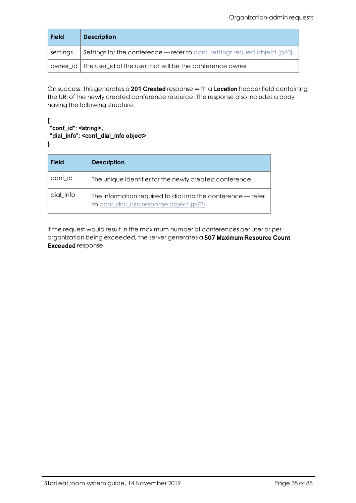| <b>Field</b> | <b>Description</b>                                                            |
|--------------|-------------------------------------------------------------------------------|
| settings     | Settings for the conference — refer to conf-settings request object $(p60)$ . |
|              | owner id   The user id of the user that will be the conference owner.         |

On success, this generates a 201 Created response with a Location header field containing the URI of the newly created conference resource. The response also includes a body having the following structure:

#### { "conf\_id": <string>, "dial\_info": <conf\_dial\_info object> }

| <b>Field</b> | <b>Description</b>                                                                                       |
|--------------|----------------------------------------------------------------------------------------------------------|
| conf id      | The unique identifier for the newly created conference.                                                  |
| dial info    | The information required to dial into the conference — refer<br>to conf_dial_info response object (p72). |

If the request would result in the maximum number of conferences per user or per organization being exceeded, the server generates a 507 Maximum Resource Count Exceeded response.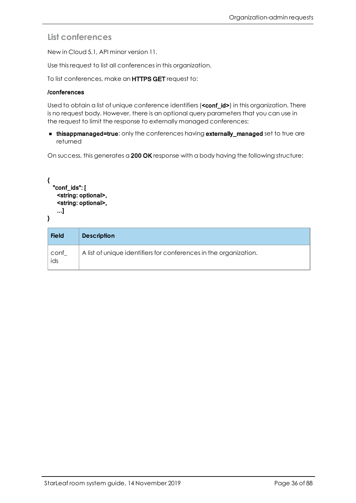## <span id="page-35-0"></span>**List conferences**

New in Cloud 5.1, API minor version 11.

Use this request to list all conferences in this organization.

To list conferences, make an HTTPS GET request to:

#### /conferences

Used to obtain a list of unique conference identifiers (**<conf\_id>)** in this organization. There is no request body. However, there is an optional query parameters that you can use in the request to limit the response to externally managed conferences:

**n thisappmanaged=true:** only the conferences having externally\_managed set to true are returned

On success, this generates a 200 OK response with a body having the following structure:

```
{
  "conf_ids": [
   <string: optional>,
   <string: optional>,
   ...]
}
```

| <b>Field</b> | <b>Description</b>                                                |
|--------------|-------------------------------------------------------------------|
| conf_<br>ids | A list of unique identifiers for conferences in the organization. |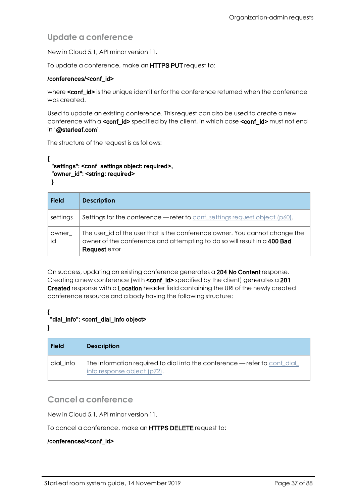## **Update a conference**

New in Cloud 5.1, API minor version 11.

To update a conference, make an HTTPS PUT request to:

#### /conferences/<conf\_id>

where **<conf\_id>** is the unique identifier for the conference returned when the conference was created.

Used to update an existing conference. This request can also be used to create a new conference with a **<conf\_id>** specified by the client, in which case **<conf\_id>** must not end in '@starleaf.com'.

The structure of the request is as follows:

```
{ 
 "settings": <conf_settings object: required>,
 "owner_id": <string: required>
```
}

| <b>Field</b> | <b>Description</b>                                                                                                                                                       |
|--------------|--------------------------------------------------------------------------------------------------------------------------------------------------------------------------|
| settings     | <b>Settings for the conference — refer to conf-settings request object (p60).</b>                                                                                        |
| owner<br>id  | The user_id of the user that is the conference owner. You cannot change the<br>owner of the conference and attempting to do so will result in a 400 Bad<br>Request error |

On success, updating an existing conference generates a 204 No Content response. Creating a new conference (with **conf\_id>** specified by the client) generates a 201 Created response with a Location header field containing the URI of the newly created conference resource and a body having the following structure:

#### { "dial\_info": <conf\_dial\_info object>

#### }

| <b>Field</b> | <b>Description</b>                                                                                       |
|--------------|----------------------------------------------------------------------------------------------------------|
| dial info    | The information required to dial into the conference — refer to conf dial<br>info response object (p72). |

## **Cancel a conference**

New in Cloud 5.1, API minor version 11.

To cancel a conference, make an HTTPS DELETE request to:

#### /conferences/<conf\_id>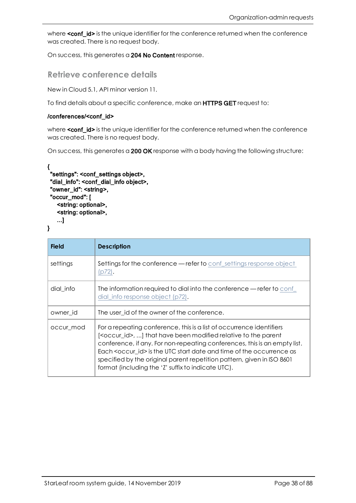where **<conf\_id>** is the unique identifier for the conference returned when the conference was created. There is no request body.

On success, this generates a 204 No Content response.

## **Retrieve conference details**

New in Cloud 5.1, API minor version 11.

To find details about a specific conference, make an HTTPS GET request to:

#### /conferences/<conf\_id>

where **<conf\_id>** is the unique identifier for the conference returned when the conference was created. There is no request body.

On success, this generates a 200 OK response with a body having the following structure:

```
{ 
 "settings": <conf_settings object>,
 "dial_info": <conf_dial_info object>,
 "owner_id": <string>,
 "occur_mod": [
   <string: optional>,
   <string: optional>,
   ...]
}
```

```
Field Description
conf_settings response object
              (p72).
dial_info The information required to dial into the conference — refer to conf
              dial_info response object (p72).
owner_id The user_id of the owner of the conference.
occur mod For a repeating conference, this is a list of occurrence identifiers
              [<occur_id>, ...] that have been modified relative to the parent
              conference, if any. For non-repeating conferences, this is an empty list.
              Each <occur_id> is the UTC start date and time of the occurrence as
              specified by the original parent repetition pattern, given in ISO 8601
              format (including the 'Z' suffix to indicate UTC).
```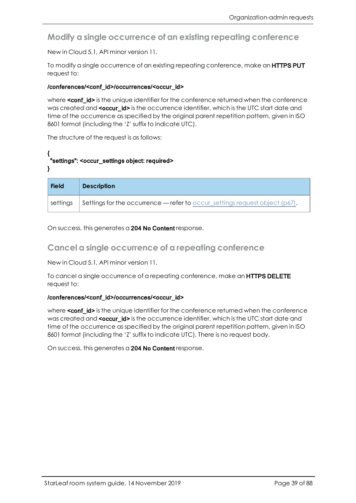**Modify a single occurrence of an existing repeating conference**

New in Cloud 5.1, API minor version 11.

To modify a single occurrence of an existing repeating conference, make an **HTTPS PUT** request to:

#### /conferences/<conf\_id>/occurrences/<occur\_id>

where **<conf\_id>** is the unique identifier for the conference returned when the conference was created and <occur id> is the occurrence identifier, which is the UTC start date and time of the occurrence as specified by the original parent repetition pattern, given in ISO 8601 format (including the 'Z' suffix to indicate UTC).

The structure of the request is as follows:

#### { "settings": <occur\_settings object: required>

}

| <b>Field</b> | <b>Description</b>                                                              |
|--------------|---------------------------------------------------------------------------------|
| settings     | Settings for the occurrence — refer to occur_settings request object ( $p67$ ). |

On success, this generates a 204 No Content response.

### **Cancel a single occurrence of a repeating conference**

New in Cloud 5.1, API minor version 11.

To cancel a single occurrence of a repeating conference, make an **HTTPS DELETE** request to:

#### /conferences/<conf\_id>/occurrences/<occur\_id>

where <conf\_id> is the unique identifier for the conference returned when the conference was created and <occur id> is the occurrence identifier, which is the UTC start date and time of the occurrence as specified by the original parent repetition pattern, given in ISO 8601 format (including the 'Z' suffix to indicate UTC). There is no request body.

On success, this generates a 204 No Content response.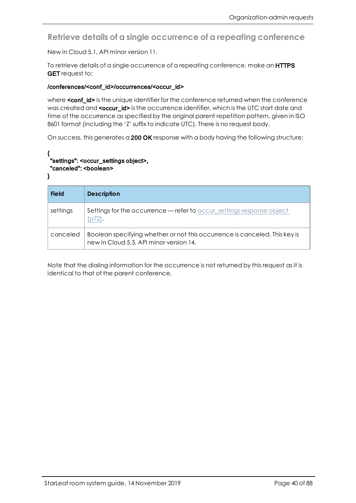**Retrieve details of a single occurrence of a repeating conference**

New in Cloud 5.1, API minor version 11.

To retrieve details of a single occurrence of a repeating conference, make an HTTPS **GET** request to:

#### /conferences/<conf\_id>/occurrences/<occur\_id>

where **<conf\_id>** is the unique identifier for the conference returned when the conference was created and <occur\_id> is the occurrence identifier, which is the UTC start date and time of the occurrence as specified by the original parent repetition pattern, given in ISO 8601 format (including the 'Z' suffix to indicate UTC). There is no request body.

On success, this generates a 200 OK response with a body having the following structure:

#### { "settings": <occur\_settings object>, "canceled": <boolean>

}

| <b>Field</b> | <b>Description</b>                                                                                                    |
|--------------|-----------------------------------------------------------------------------------------------------------------------|
| settings     | Settings for the occurrence - refer to occur_settings response object<br>(p72).                                       |
| canceled     | Boolean specifying whether or not this occurrence is canceled. This key is<br>new in Cloud 5.3, API minor version 14. |

Note that the dialing information for the occurrence is not returned by this request as it is identical to that of the parent conference.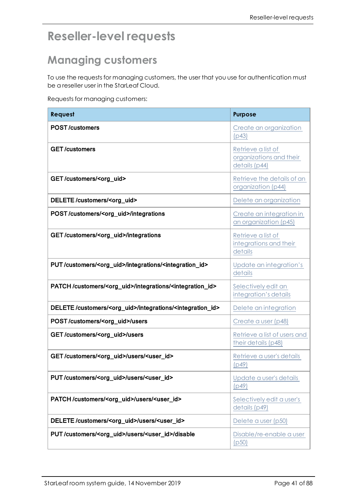# **Reseller-level requests**

# **Managing customers**

To use the requests for managing customers, the user that you use for authentication must be a reseller user in the StarLeaf Cloud.

Requests for managing customers:

| Request                                                                              | <b>Purpose</b>                                                 |
|--------------------------------------------------------------------------------------|----------------------------------------------------------------|
| <b>POST/customers</b>                                                                | Create an organization<br>(p43)                                |
| <b>GET/customers</b>                                                                 | Retrieve a list of<br>organizations and their<br>details (p44) |
| GET/customers/ <org_uid></org_uid>                                                   | Retrieve the details of an<br>organization (p44)               |
| DELETE/customers/ <org_uid></org_uid>                                                | Delete an organization                                         |
| POST/customers/ <org_uid>/integrations</org_uid>                                     | Create an integration in<br>an organization (p45)              |
| GET/customers/ <org_uid>/integrations</org_uid>                                      | Retrieve a list of<br>integrations and their<br>details        |
| PUT/customers/ <org_uid>/integrations/<integration_id></integration_id></org_uid>    | Update an integration's<br>details                             |
| PATCH/customers/ <org_uid>/integrations/<integration_id></integration_id></org_uid>  | Selectively edit an<br>integration's details                   |
| DELETE/customers/ <org_uid>/integrations/<integration_id></integration_id></org_uid> | Delete an integration                                          |
| POST/customers/ <org_uid>/users</org_uid>                                            | Create a user (p48)                                            |
| GET/customers/ <org_uid>/users</org_uid>                                             | Retrieve a list of users and<br>their details (p48)            |
| GET/customers/ <org_uid>/users/<user_id></user_id></org_uid>                         | Retrieve a user's details<br>(p49)                             |
| PUT/customers/ <org_uid>/users/<user_id></user_id></org_uid>                         | Update a user's details<br>(p49)                               |
| PATCH/customers/ <org_uid>/users/<user_id></user_id></org_uid>                       | Selectively edit a user's<br>details (p49)                     |
| DELETE/customers/ <org_uid>/users/<user_id></user_id></org_uid>                      | Delete a user (p50)                                            |
| PUT/customers/ <org_uid>/users/<user_id>/disable</user_id></org_uid>                 | Disable/re-enable a user<br>(p50)                              |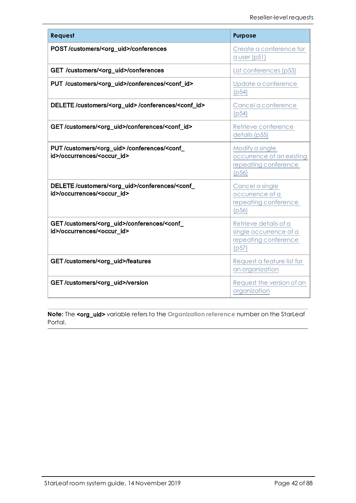| Request                                                                                                         | <b>Purpose</b>                                                                   |
|-----------------------------------------------------------------------------------------------------------------|----------------------------------------------------------------------------------|
| POST/customers/ <org_uid>/conferences</org_uid>                                                                 | Create a conference for<br>a user $(p51)$                                        |
| GET /customers/ <org_uid>/conferences</org_uid>                                                                 | List conferences (p53)                                                           |
| PUT /customers/ <org_uid>/conferences/<conf_id></conf_id></org_uid>                                             | Update a conference<br>(p54)                                                     |
| DELETE/customers/ <org_uid>/conferences/<conf_id></conf_id></org_uid>                                           | Cancel a conference<br>(p54)                                                     |
| GET/customers/ <org_uid>/conferences/<conf_id></conf_id></org_uid>                                              | Retrieve conference<br>details (p55)                                             |
| PUT/customers/ <org_uid>/conferences/<conf_<br>id&gt;/occurrences/<occur_id></occur_id></conf_<br></org_uid>    | Modify a single<br>occurrence of an existing<br>repeating conference<br>(p56)    |
| DELETE/customers/ <org_uid>/conferences/<conf_<br>id&gt;/occurrences/<occur_id></occur_id></conf_<br></org_uid> | Cancel a single<br>occurrence of a<br>repeating conference<br>(p56)              |
| GET/customers/ <org_uid>/conferences/<conf_<br>id&gt;/occurrences/<occur_id></occur_id></conf_<br></org_uid>    | Retrieve details of a<br>single occurrence of a<br>repeating conference<br>(p57) |
| GET/customers/ <org_uid>/features</org_uid>                                                                     | Request a feature list for<br>an organization                                    |
| GET/customers/ <org_uid>/version</org_uid>                                                                      | Request the version of an<br>organization                                        |

**Note:** The <org\_uid> variable refers to the **Organization reference** number on the StarLeaf Portal.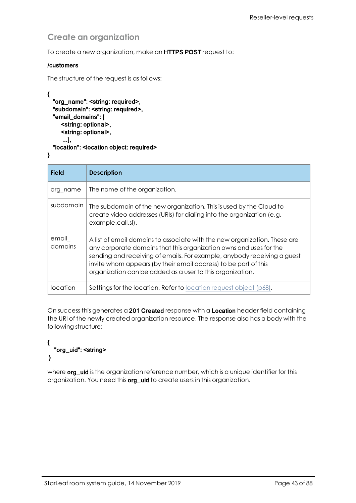## <span id="page-42-0"></span>**Create an organization**

To create a new organization, make an HTTPS POST request to:

#### /customers

```
The structure of the request is as follows:
```

```
{
  "org_name": <string: required>,
  "subdomain": <string: required>,
  "email_domains": [
     <string: optional>,
     <string: optional>,
     ...],
  "location": <location object: required>
}
```

| <b>Field</b>     | <b>Description</b>                                                                                                                                                                                                                                                                                                                                         |
|------------------|------------------------------------------------------------------------------------------------------------------------------------------------------------------------------------------------------------------------------------------------------------------------------------------------------------------------------------------------------------|
| org name         | The name of the organization.                                                                                                                                                                                                                                                                                                                              |
| subdomain        | The subdomain of the new organization. This is used by the Cloud to<br>create video addresses (URIs) for dialing into the organization (e.g.<br>example.call.sl).                                                                                                                                                                                          |
| email<br>domains | A list of email domains to associate with the new organization. These are<br>any corporate domains that this organization owns and uses for the<br>sending and receiving of emails. For example, anybody receiving a guest<br>invite whom appears (by their email address) to be part of this<br>organization can be added as a user to this organization. |
| Iocation         | Settings for the location. Refer to location request object (p68).                                                                                                                                                                                                                                                                                         |

On success this generates a 201 Created response with a Location header field containing the URI of the newly created organization resource. The response also has a body with the following structure:

#### { "org\_uid": <string> }

where **org\_uid** is the organization reference number, which is a unique identifier for this organization. You need this **org\_uid** to create users in this organization.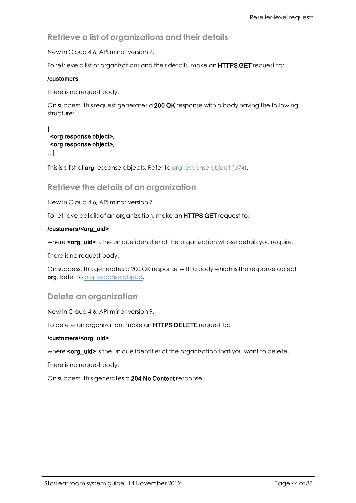<span id="page-43-0"></span>**Retrieve a list of organizations and their details**

New in Cloud 4.6, API minor version 7.

To retrieve a list of organizations and their details, make an **HTTPS GET** request to:

#### /customers

There is no request body.

On success, this request generates a 200 OK response with a body having the following structure:

#### $\mathbf{r}$ <org response object>, <org response object>, ...]

<span id="page-43-1"></span>This is a list of **org** [response](#page-73-0) objects. Refer to org response object (p74).

### **Retrieve the details of an organization**

New in Cloud 4.6, API minor version 7.

To retrieve details of an organization, make an HTTPS GET request to:

#### /customers/<org\_uid>

where <org\_uid> is the unique identifier of the organization whose details you require.

There is no request body.

On success, this generates a 200 OK response with a body which is the response object org. Refer to org [response](#page-73-1) object.

### <span id="page-43-2"></span>**Delete an organization**

New in Cloud 4.6, API minor version 9.

To delete an organization, make an HTTPS DELETE request to:

#### /customers/<org\_uid>

where <org\_uid> is the unique identifier of the organization that you want to delete.

There is no request body.

On success, this generates a 204 No Content response.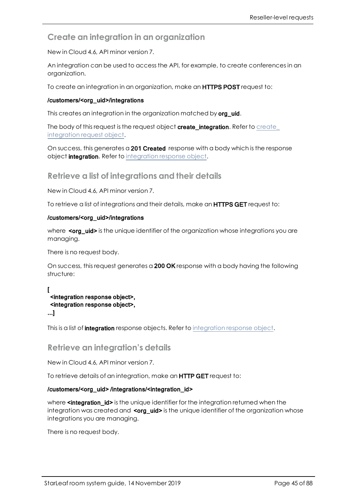## <span id="page-44-0"></span>**Create an integration in an organization**

New in Cloud 4.6, API minor version 7.

An integration can be used to access the API, for example, to create conferences in an organization.

To create an integration in an organization, make an **HTTPS POST** request to:

#### /customers/<org\_uid>/integrations

This creates an integration in the organization matched by org\_uid.

The body of this request is the request object [create\\_](#page-69-0)integration. Refer to create\_ [integration](#page-69-0) request object.

On success, this generates a 201 Created response with a body which is the response object [integration](#page-78-0). Refer to integration response object.

<span id="page-44-1"></span>**Retrieve a list of integrations and their details**

New in Cloud 4.6, API minor version 7.

To retrieve a list of integrations and their details, make an **HTTPS GET** request to:

#### /customers/<org\_uid>/integrations

where  $\leq$  org\_uid> is the unique identifier of the organization whose integrations you are managing.

There is no request body.

On success, this request generates a 200 OK response with a body having the following structure:

```
[
<integration response object>,
<integration response object>,
...]
```
This is a list of **[integration](#page-78-0)** response objects. Refer to integration response object.

### **Retrieve an integration's details**

New in Cloud 4.6, API minor version 7.

To retrieve details of an integration, make an **HTTP GET** request to:

#### /customers/<org\_uid> /integrations/<integration\_id>

where **sintegration id>** is the unique identifier for the integration returned when the integration was created and  $\text{con}$  uid> is the unique identifier of the organization whose integrations you are managing.

There is no request body.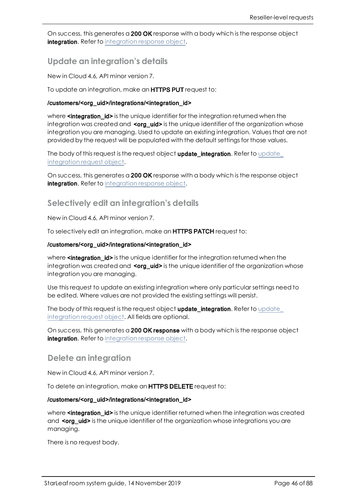On success, this generates a 200 OK response with a body which is the response object [integration](#page-78-0). Refer to integration response object.

### <span id="page-45-0"></span>**Update an integration's details**

New in Cloud 4.6, API minor version 7.

To update an integration, make an **HTTPS PUT** request to:

#### /customers/<org\_uid>/integrations/<integration\_id>

where **sintegration id>** is the unique identifier for the integration returned when the integration was created and <org\_uid> is the unique identifier of the organization whose integration you are managing. Used to update an existing integration. Values that are not provided by the request will be populated with the default settings for those values.

The body of this request is the request object [update\\_](#page-70-0)integration. Refer to update\_ [integration](#page-70-0) request object.

On success, this generates a 200 OK response with a body which is the response object [integration](#page-69-0). Refer to integration response object.

### <span id="page-45-1"></span>**Selectively edit an integration's details**

New in Cloud 4.6, API minor version 7.

To selectively edit an integration, make an **HTTPS PATCH** request to:

#### /customers/<org\_uid>/integrations/<integration\_id>

where **sintegration\_id>** is the unique identifier for the integration returned when the integration was created and  $\leq_{org\_uid}$  is the unique identifier of the organization whose integration you are managing.

Use this request to update an existing integration where only particular settings need to be edited. Where values are not provided the existing settings will persist.

The body of this request is the request object [update\\_](#page-70-0)integration. Refer to update\_ [integration](#page-70-0) request object. All fields are optional.

On success, this generates a 200 OK response with a body which is the response object [integration](#page-78-0). Refer to integration response object.

#### <span id="page-45-2"></span>**Delete an integration**

New in Cloud 4.6, API minor version 7.

To delete an integration, make an HTTPS DELETE request to:

#### /customers/<org\_uid>/integrations/<integration\_id>

where **sintegration id>** is the unique identifier returned when the integration was created and <org uid> is the unique identifier of the organization whose integrations you are managing.

There is no request body.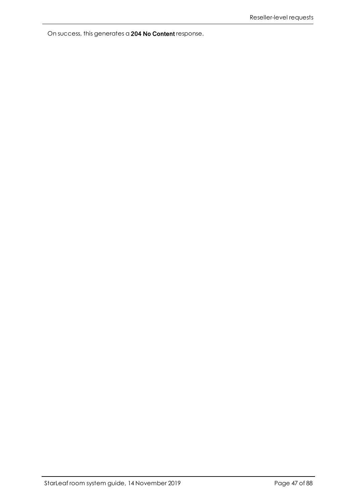On success, this generates a 204 No Content response.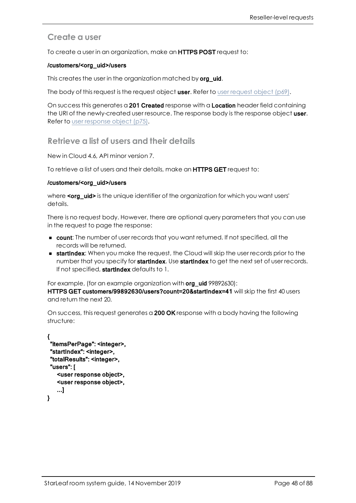## <span id="page-47-0"></span>**Create a user**

To create a user in an organization, make an **HTTPS POST** request to:

#### /customers/<org\_uid>/users

This creates the user in the organization matched by org uid.

The body of this [request](#page-68-0) is the request object user. Refer to user request object ( $p69$ ).

<span id="page-47-1"></span>On success this generates a 201 Created response with a Location header field containing the URI of the newly-created user resource. The response body is the response object user. Refer to user [response](#page-74-0) object (p75).

### **Retrieve a list of users and their details**

New in Cloud 4.6, API minor version 7.

To retrieve a list of users and their details, make an HTTPS GET request to:

#### /customers/<org\_uid>/users

where <org\_uid> is the unique identifier of the organization for which you want users' details.

There is no request body. However, there are optional query parameters that you can use in the request to page the response:

- **n** count: The number of user records that you want returned. If not specified, all the records will be returned.
- **startIndex:** When you make the request, the Cloud will skip the user records prior to the number that you specify for **startIndex**. Use **startIndex** to get the next set of user records. If not specified, startIndex defaults to 1.

For example, (for an example organization with **org\_uid** 99892630):

HTTPS GET customers/99892630/users?count=20&startIndex=41 will skip the first 40 users and return the next 20.

On success, this request generates a 200 OK response with a body having the following structure:

```
{ 
"itemsPerPage": <integer>,
"startIndex": <integer>,
"totalResults": <integer>,
"users": [
   <user response object>,
   <user response object>,
   ...]
```
}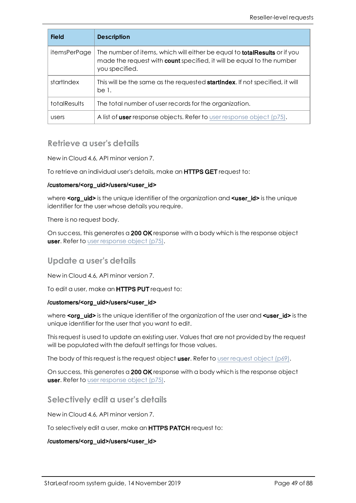| <b>Field</b>        | <b>Description</b>                                                                                                                                                                 |
|---------------------|------------------------------------------------------------------------------------------------------------------------------------------------------------------------------------|
| itemsPerPage        | The number of items, which will either be equal to <b>totalResults</b> or if you<br>made the request with <b>count</b> specified, it will be equal to the number<br>you specified. |
| startlndex          | This will be the same as the requested <b>startIndex</b> . If not specified, it will<br>be 1.                                                                                      |
| <b>totalResults</b> | The total number of user records for the organization.                                                                                                                             |
| users               | A list of user response objects. Refer to user response object (p75).                                                                                                              |

## <span id="page-48-0"></span>**Retrieve a user's details**

New in Cloud 4.6, API minor version 7.

To retrieve an individual user's details, make an HTTPS GET request to:

#### /customers/<org\_uid>/users/<user\_id>

where **<org\_uid>** is the unique identifier of the organization and **<user\_id>** is the unique identifier for the user whose details you require.

There is no request body.

<span id="page-48-1"></span>On success, this generates a 200 OK response with a body which is the response object **user.** Refer to user [response](#page-74-0) object (p75).

#### **Update a user's details**

New in Cloud 4.6, API minor version 7.

To edit a user, make an HTTPS PUT request to:

#### /customers/<org\_uid>/users/<user\_id>

where  $\leq$  org uid> is the unique identifier of the organization of the user and  $\leq$ user  $id$ > is the unique identifier for the user that you want to edit.

This request is used to update an existing user. Values that are not provided by the request will be populated with the default settings for those values.

The body of this [request](#page-68-0) is the request object user. Refer to user request object  $(p69)$ .

<span id="page-48-2"></span>On success, this generates a 200 OK response with a body which is the response object **user.** Refer to user [response](#page-74-0) object (p75).

#### **Selectively edit a user's details**

New in Cloud 4.6, API minor version 7.

To selectively edit a user, make an HTTPS PATCH request to:

#### /customers/<org\_uid>/users/<user\_id>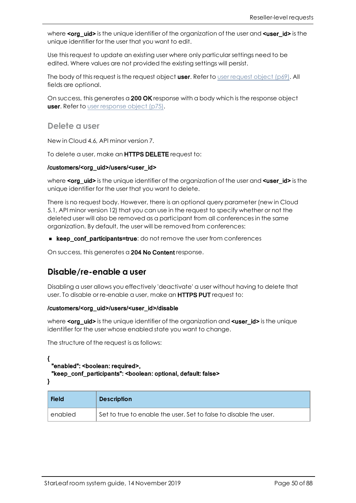where  $\text{cong}$  uid> is the unique identifier of the organization of the user and  $\text{con}$   $\text{cong}$  is the unique identifier for the user that you want to edit.

Use this request to update an existing user where only particular settings need to be edited. Where values are not provided the existing settings will persist.

The body of this [request](#page-68-0) is the request object user. Refer to user request object (p69). All fields are optional.

<span id="page-49-0"></span>On success, this generates a 200 OK response with a body which is the response object **user.** Refer to user [response](#page-74-0) object (p75).

**Delete a user**

New in Cloud 4.6, API minor version 7.

To delete a user, make an **HTTPS DELETE** request to:

#### /customers/<org\_uid>/users/<user\_id>

where  $\leq$  org uid> is the unique identifier of the organization of the user and  $\leq$ user id> is the unique identifier for the user that you want to delete.

There is no request body. However, there is an optional query parameter (new in Cloud 5.1, API minor version 12) that you can use in the request to specify whether or not the deleted user will also be removed as a participant from all conferences in the same organization. By default, the user will be removed from conferences:

**n** keep\_conf\_participants=true: do not remove the user from conferences

<span id="page-49-1"></span>On success, this generates a 204 No Content response.

## **Disable/re-enable a user**

Disabling a user allows you effectively 'deactivate' a user without having to delete that user. To disable or re-enable a user, make an HTTPS PUT request to:

#### /customers/<org\_uid>/users/<user\_id>/disable

where  $\leq$  org\_uid> is the unique identifier of the organization and  $\leq$ user\_id> is the unique identifier for the user whose enabled state you want to change.

The structure of the request is as follows:

{ "enabled": <boolean: required>, "keep\_conf\_participants": <boolean: optional, default: false> }

| <b>Field</b> | <b>Description</b>                                                |
|--------------|-------------------------------------------------------------------|
| enabled      | Set to true to enable the user. Set to false to disable the user. |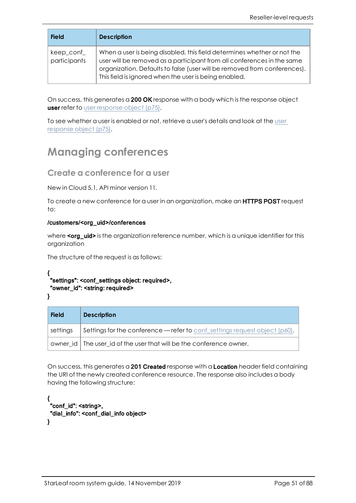| <b>Field</b>               | <b>Description</b>                                                                                                                                                                                                                                                                     |
|----------------------------|----------------------------------------------------------------------------------------------------------------------------------------------------------------------------------------------------------------------------------------------------------------------------------------|
| keep_conf_<br>participants | When a user is being disabled, this field determines whether or not the<br>user will be removed as a participant from all conferences in the same<br>organization. Defaults to false (user will be removed from conferences).<br>This field is ignored when the user is being enabled. |

On success, this generates a 200 OK response with a body which is the response object **user** refer to user [response](#page-74-0) object (p75).

To see whether a user is enabled or not, retrieve a user's details and look at the [user](#page-74-0) [response](#page-74-0) object (p75).

## <span id="page-50-0"></span>**Managing conferences**

### **Create a conference for a user**

New in Cloud 5.1, API minor version 11.

To create a new conference for a user in an organization, make an **HTTPS POST** request to:

#### /customers/<org\_uid>/conferences

where  $\text{cong}$  uid> is the organization reference number, which is a unique identifier for this organization

The structure of the request is as follows:

```
{ 
"settings": <conf_settings object: required>,
"owner_id": <string: required>
```
}

| <b>Field</b> | <b>Description</b>                                                               |  |
|--------------|----------------------------------------------------------------------------------|--|
| settings     | Settings for the conference $-$ refer to conf-settings request object ( $p60$ ). |  |
|              | owner id   The user id of the user that will be the conference owner.            |  |

On success, this generates a 201 Created response with a Location header field containing the URI of the newly created conference resource. The response also includes a body having the following structure:

```
{ 
 "conf_id": <string>,
 "dial_info": <conf_dial_info object>
}
```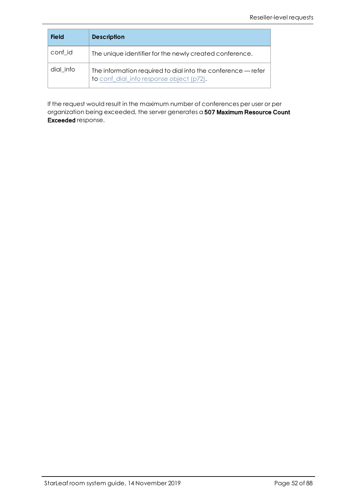| <b>Field</b>                                                                                                          | <b>Description</b>                                      |
|-----------------------------------------------------------------------------------------------------------------------|---------------------------------------------------------|
| conf id                                                                                                               | The unique identifier for the newly created conference. |
| dial info<br>The information required to dial into the conference - refer<br>to conf_dial_info response object (p72). |                                                         |

If the request would result in the maximum number of conferences per user or per organization being exceeded, the server generates a 507 Maximum Resource Count Exceeded response.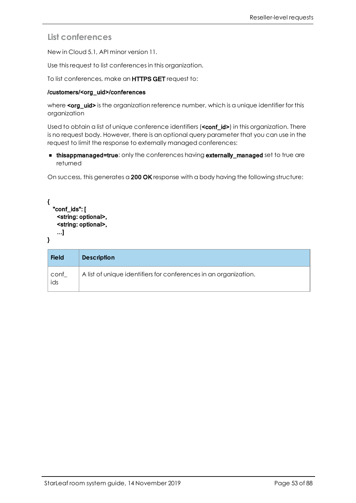## <span id="page-52-0"></span>**List conferences**

New in Cloud 5.1, API minor version 11.

Use this request to list conferences in this organization.

To list conferences, make an HTTPS GET request to:

#### /customers/<org\_uid>/conferences

where  $\text{cong}$  uid  $\text{in}$  is the organization reference number, which is a unique identifier for this organization

Used to obtain a list of unique conference identifiers (**<conf\_id>)** in this organization. There is no request body. However, there is an optional query parameter that you can use in the request to limit the response to externally managed conferences:

**n thisappmanaged=true:** only the conferences having **externally\_managed** set to true are returned

On success, this generates a 200 OK response with a body having the following structure:

```
{
  "conf_ids": [
    <string: optional>,
    <string: optional>,
    ...]
}
```

| <b>Field</b> | <b>Description</b>                                               |
|--------------|------------------------------------------------------------------|
| conf<br>ids  | A list of unique identifiers for conferences in an organization. |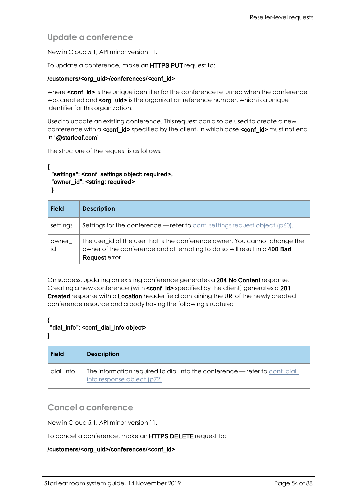## <span id="page-53-0"></span>**Update a conference**

New in Cloud 5.1, API minor version 11.

To update a conference, make an **HTTPS PUT** request to:

#### /customers/<org\_uid>/conferences/<conf\_id>

where **<conf\_id>** is the unique identifier for the conference returned when the conference was created and **<org\_uid>** is the organization reference number, which is a unique identifier for this organization.

Used to update an existing conference. This request can also be used to create a new conference with a **<conf\_id>** specified by the client, in which case **<conf\_id>** must not end in '@starleaf.com'.

The structure of the request is as follows:

#### { "settings": <conf\_settings object: required>, "owner\_id": <string: required>

}

| <b>Field</b> | <b>Description</b>                                                                                                                                                       |
|--------------|--------------------------------------------------------------------------------------------------------------------------------------------------------------------------|
| settings     | Settings for the conference — refer to conf-settings request object $(p60)$ .                                                                                            |
| owner<br>id  | The user_id of the user that is the conference owner. You cannot change the<br>owner of the conference and attempting to do so will result in a 400 Bad<br>Request error |

On success, updating an existing conference generates a 204 No Content response. Creating a new conference (with **conf\_id>** specified by the client) generates a 201 Created response with a Location header field containing the URI of the newly created conference resource and a body having the following structure:

#### { "dial\_info": <conf\_dial\_info object>

}

| <b>Field</b> | <b>Description</b>                                                                                      |
|--------------|---------------------------------------------------------------------------------------------------------|
| dial info    | The information required to dial into the conference — refer to conferal<br>info response object (p72). |

## <span id="page-53-1"></span>**Cancel a conference**

New in Cloud 5.1, API minor version 11.

To cancel a conference, make an **HTTPS DELETE** request to:

#### /customers/<org\_uid>/conferences/<conf\_id>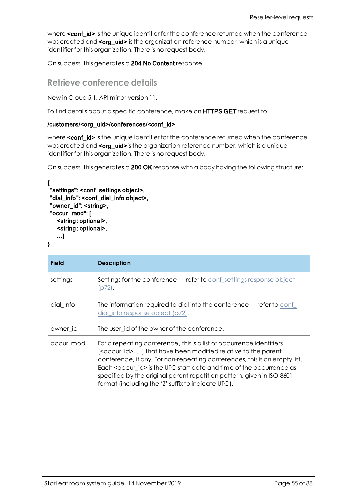where **<conf\_id>** is the unique identifier for the conference returned when the conference was created and **<org\_uid>** is the organization reference number, which is a unique identifier for this organization. There is no request body.

<span id="page-54-0"></span>On success, this generates a 204 No Content response.

### **Retrieve conference details**

New in Cloud 5.1, API minor version 11.

To find details about a specific conference, make an HTTPS GET request to:

#### /customers/<org\_uid>/conferences/<conf\_id>

where <conf\_id> is the unique identifier for the conference returned when the conference was created and <org\_uid>is the organization reference number, which is a unique identifier for this organization. There is no request body.

On success, this generates a 200 OK response with a body having the following structure:

```
{ 
 "settings": <conf_settings object>,
 "dial_info": <conf_dial_info object>,
 "owner_id": <string>,
 "occur_mod": [
   <string: optional>,
   <string: optional>,
   ...]
}
```

| <b>Field</b> | <b>Description</b>                                                                                                                                                                                                                                                                                                                                                                                                                                   |
|--------------|------------------------------------------------------------------------------------------------------------------------------------------------------------------------------------------------------------------------------------------------------------------------------------------------------------------------------------------------------------------------------------------------------------------------------------------------------|
| settings     | <b>Settings for the conference — refer to conf_settings response object</b><br>p72).                                                                                                                                                                                                                                                                                                                                                                 |
| dial_info    | The information required to dial into the conference — refer to conf<br>dial_info response object (p72).                                                                                                                                                                                                                                                                                                                                             |
| owner id     | The user_id of the owner of the conference.                                                                                                                                                                                                                                                                                                                                                                                                          |
| occur_mod    | For a repeating conference, this is a list of occurrence identifiers<br>[ <occur_id>, ] that have been modified relative to the parent<br/>conference, if any. For non-repeating conferences, this is an empty list.<br/>Each <occur id=""> is the UTC start date and time of the occurrence as<br/>specified by the original parent repetition pattern, given in ISO 8601<br/>format (including the 'Z' suffix to indicate UTC).</occur></occur_id> |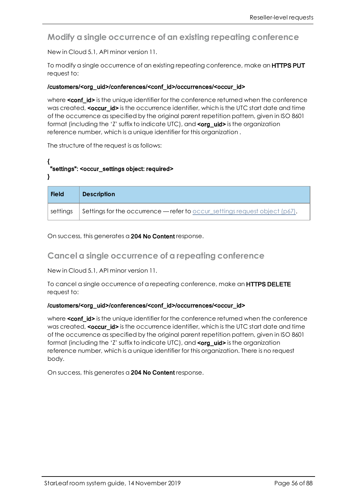<span id="page-55-0"></span>**Modify a single occurrence of an existing repeating conference**

New in Cloud 5.1, API minor version 11.

To modify a single occurrence of an existing repeating conference, make an **HTTPS PUT** request to:

#### /customers/<org\_uid>/conferences/<conf\_id>/occurrences/<occur\_id>

where **conf\_id>** is the unique identifier for the conference returned when the conference was created, <occur id> is the occurrence identifier, which is the UTC start date and time of the occurrence as specified by the original parent repetition pattern, given in ISO 8601 format (including the 'Z' suffix to indicate UTC), and <org\_uid> is the organization reference number, which is a unique identifier for this organization .

The structure of the request is as follows:

### { "settings": <occur\_settings object: required>

}

| <b>Field</b> | <b>Description</b>                                                              |
|--------------|---------------------------------------------------------------------------------|
| settings     | Settings for the occurrence — refer to occur_settings request object ( $p67$ ). |

<span id="page-55-1"></span>On success, this generates a 204 No Content response.

## **Cancel a single occurrence of a repeating conference**

New in Cloud 5.1, API minor version 11.

To cancel a single occurrence of a repeating conference, make an HTTPS DELETE request to:

#### /customers/<org\_uid>/conferences/<conf\_id>/occurrences/<occur\_id>

where **<conf id>** is the unique identifier for the conference returned when the conference was created, <occur\_id> is the occurrence identifier, which is the UTC start date and time of the occurrence as specified by the original parent repetition pattern, given in ISO 8601 format (including the 'Z' suffix to indicate UTC), and <org\_uid> is the organization reference number, which is a unique identifier for this organization. There is no request body.

On success, this generates a 204 No Content response.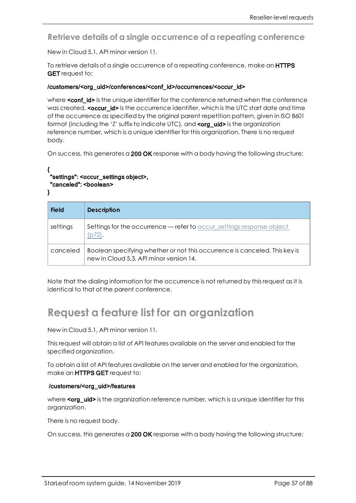<span id="page-56-0"></span>**Retrieve details of a single occurrence of a repeating conference**

New in Cloud 5.1, API minor version 11.

To retrieve details of a single occurrence of a repeating conference, make an **HTTPS GET** request to:

#### /customers/<org\_uid>/conferences/<conf\_id>/occurrences/<occur\_id>

where **conf\_id>** is the unique identifier for the conference returned when the conference was created, <occur id> is the occurrence identifier, which is the UTC start date and time of the occurrence as specified by the original parent repetition pattern, given in ISO 8601 format (including the 'Z' suffix to indicate UTC), and <org\_uid> is the organization reference number, which is a unique identifier for this organization. There is no request body.

On success, this generates a 200 OK response with a body having the following structure:

```
{ 
"settings": <occur_settings object>,
 "canceled": <boolean>
}
```
**Field Description** settings Settings for the occurrence — refer to [occur\\_settings](#page-71-2) response object [\(p72\).](#page-71-2) canceled  $\Box$  Boolean specifying whether or not this occurrence is canceled. This key is new in Cloud 5.3, API minor version 14.

<span id="page-56-1"></span>Note that the dialing information for the occurrence is not returned by this request as it is identical to that of the parent conference.

# **Request a feature list for an organization**

New in Cloud 5.1, API minor version 11.

This request will obtain a list of API features available on the server and enabled for the specified organization.

To obtain a list of API features available on the server and enabled for the organization, make an HTTPS GET request to:

#### /customers/<org\_uid>/features

where **corg** uid> is the organization reference number, which is a unique identifier for this organization.

There is no request body.

On success, this generates a 200 OK response with a body having the following structure: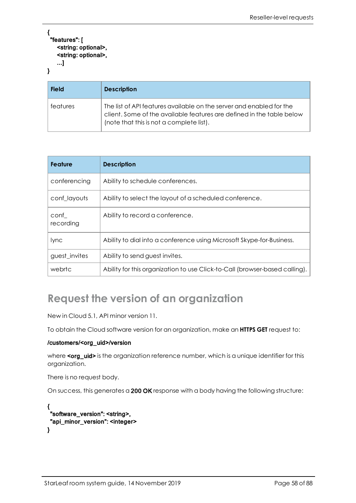```
{ 
 "features": [
    <string: optional>,
    <string: optional>,
    ...]
}
```

| <b>Field</b> | <b>Description</b>                                                                                                                                                                        |
|--------------|-------------------------------------------------------------------------------------------------------------------------------------------------------------------------------------------|
| features     | The list of API features available on the server and enabled for the<br>client. Some of the available features are defined in the table below<br>(note that this is not a complete list). |

| <b>Feature</b>    | <b>Description</b>                                                          |
|-------------------|-----------------------------------------------------------------------------|
| conferencing      | Ability to schedule conferences.                                            |
| conf_layouts      | Ability to select the layout of a scheduled conference.                     |
| conf<br>recording | Ability to record a conference.                                             |
| lync              | Ability to dial into a conference using Microsoft Skype-for-Business.       |
| guest_invites     | Ability to send guest invites.                                              |
| webrtc            | Ability for this organization to use Click-to-Call (browser-based calling). |

# <span id="page-57-0"></span>**Request the version of an organization**

New in Cloud 5.1, API minor version 11.

To obtain the Cloud software version for an organization, make an **HTTPS GET** request to:

#### /customers/<org\_uid>/version

where <org\_uid> is the organization reference number, which is a unique identifier for this organization.

There is no request body.

On success, this generates a 200 OK response with a body having the following structure:

```
{ 
 "software_version": <string>,  
 "api_minor_version": <integer>
}
```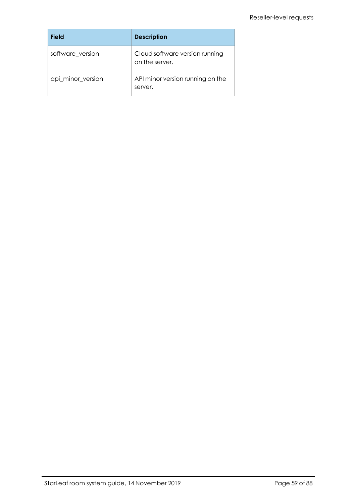| <b>Field</b>      | <b>Description</b>                               |
|-------------------|--------------------------------------------------|
| software version  | Cloud software version running<br>on the server. |
| api_minor_version | API minor version running on the<br>server.      |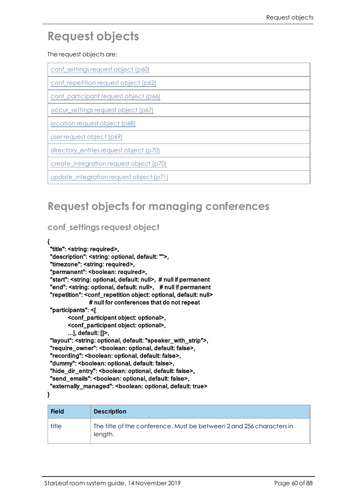# **Request objects**

#### The request objects are:

| conf_settings request object (p60)   |
|--------------------------------------|
| conf_repetition request object (p62) |

[conf\\_participant](#page-65-0) request object (p66)

[occur\\_settings](#page-66-0) request object (p67)

[location](#page-67-0) request object (p68)

user [request](#page-68-0) object (p69)

[directory\\_entries](#page-69-1) request object (p70)

[create\\_integration](#page-69-2) request object (p70)

[update\\_integration](#page-70-1) request object (p71)

## <span id="page-59-0"></span>**Request objects for managing conferences**

## **conf\_settings request object**

### {

"title": <string: required>, "description": <string: optional, default: "">, "timezone": <string: required>, "permanent": <boolean: required>, "start": <string: optional, default: null>, # null if permanent "end": <string: optional, default: null>, # null if permanent "repetition": <conf\_repetition object: optional, default: null> # null for conferences that do not repeat "participants": <[ <conf\_participant object: optional>, <conf\_participant object: optional>, ...], default: []>, "layout": <string: optional, default: "speaker\_with\_strip">, "require\_owner": <boolean: optional, default: false>, "recording": <boolean: optional, default: false>, "dummy": <boolean: optional, default: false>, "hide\_dir\_entry": <boolean: optional, default: false>, "send\_emails": <boolean: optional, default: false>,

"externally\_managed": <boolean: optional, default: true>

}

| <b>Field</b> | <b>Description</b>                                                              |
|--------------|---------------------------------------------------------------------------------|
| title        | The title of the conference. Must be between 2 and 256 characters in<br>length. |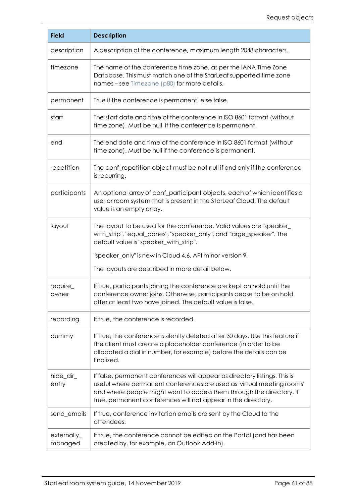| <b>Field</b>             | <b>Description</b>                                                                                                                                                                                                                                                                            |
|--------------------------|-----------------------------------------------------------------------------------------------------------------------------------------------------------------------------------------------------------------------------------------------------------------------------------------------|
| description              | A description of the conference, maximum length 2048 characters.                                                                                                                                                                                                                              |
| timezone                 | The name of the conference time zone, as per the IANA Time Zone<br>Database. This must match one of the StarLeaf supported time zone<br>names-see Timezone (p80) for more details.                                                                                                            |
| permanent                | True if the conference is permanent, else false.                                                                                                                                                                                                                                              |
| start                    | The start date and time of the conference in ISO 8601 format (without<br>time zone). Must be null if the conference is permanent.                                                                                                                                                             |
| end                      | The end date and time of the conference in ISO 8601 format (without<br>time zone). Must be null if the conference is permanent.                                                                                                                                                               |
| repetition               | The conf_repetition object must be not null if and only if the conference<br>is recurring.                                                                                                                                                                                                    |
| participants             | An optional array of conf_participant objects, each of which identifies a<br>user or room system that is present in the StarLeaf Cloud. The default<br>value is an empty array.                                                                                                               |
| layout                   | The layout to be used for the conference. Valid values are "speaker_<br>with_strip", "equal_panes", "speaker_only", and "large_speaker". The<br>default value is "speaker_with_strip".                                                                                                        |
|                          | "speaker_only" is new in Cloud 4.6, API minor version 9.                                                                                                                                                                                                                                      |
|                          | The layouts are described in more detail below.                                                                                                                                                                                                                                               |
| require_<br>owner        | If true, participants joining the conference are kept on hold until the<br>conference owner joins. Otherwise, participants cease to be on hold<br>after at least two have joined. The default value is false.                                                                                 |
| recording                | If true, the conference is recorded.                                                                                                                                                                                                                                                          |
| dummy                    | If true, the conference is silently deleted after 30 days. Use this feature if<br>the client must create a placeholder conference (in order to be<br>allocated a dial in number, for example) before the details can be<br>finalized.                                                         |
| hide_dir_<br>entry       | If false, permanent conferences will appear as directory listings. This is<br>useful where permanent conferences are used as 'virtual meeting rooms'<br>and where people might want to access them through the directory. If<br>true, permanent conferences will not appear in the directory. |
| send_emails              | If true, conference invitation emails are sent by the Cloud to the<br>attendees.                                                                                                                                                                                                              |
| $externally_$<br>managed | If true, the conference cannot be edited on the Portal (and has been<br>created by, for example, an Outlook Add-in).                                                                                                                                                                          |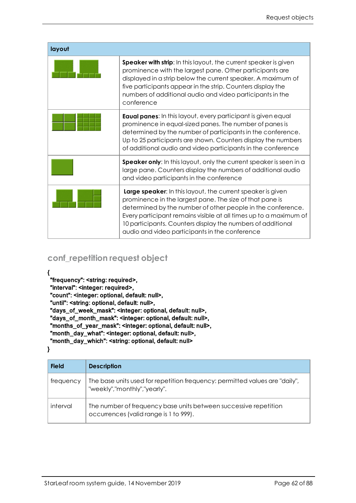| layout |                                                                                                                                                                                                                                                                                                                                                                              |
|--------|------------------------------------------------------------------------------------------------------------------------------------------------------------------------------------------------------------------------------------------------------------------------------------------------------------------------------------------------------------------------------|
|        | <b>Speaker with strip:</b> In this layout, the current speaker is given<br>prominence with the largest pane. Other participants are<br>displayed in a strip below the current speaker. A maximum of<br>five participants appear in the strip. Counters display the<br>numbers of additional audio and video participants in the<br>conference                                |
|        | <b>Eaual panes:</b> In this layout, every participant is given equal<br>prominence in equal-sized panes. The number of panes is<br>determined by the number of participants in the conference.<br>Up to 25 participants are shown. Counters display the numbers<br>of additional audio and video participants in the conference                                              |
|        | Speaker only: In this layout, only the current speaker is seen in a<br>large pane. Counters display the numbers of additional audio<br>and video participants in the conference                                                                                                                                                                                              |
|        | Large speaker: In this layout, the current speaker is given<br>prominence in the largest pane. The size of that pane is<br>determined by the number of other people in the conference.<br>Every participant remains visible at all times up to a maximum of<br>10 participants. Counters display the numbers of additional<br>audio and video participants in the conference |

## <span id="page-61-0"></span>**conf\_repetition request object**

{

"frequency": <string: required>,

"interval": <integer: required>,

"count": <integer: optional, default: null>,

"until": <string: optional, default: null>,

"days\_of\_week\_mask": <integer: optional, default: null>,

"days\_of\_month\_mask": <integer: optional, default: null>,

"months\_of\_year\_mask": <integer: optional, default: null>,

"month\_day\_what": <integer: optional, default: null>,

"month\_day\_which": <string: optional, default: null>

}

| <b>Field</b> | <b>Description</b>                                                                                          |
|--------------|-------------------------------------------------------------------------------------------------------------|
| frequency    | The base units used for repetition frequency: permitted values are "daily",<br>"weekly","monthly","yearly". |
| interval     | The number of frequency base units between successive repetition<br>occurrences (valid range is 1 to 999).  |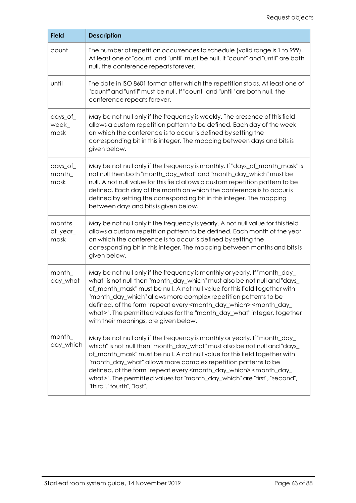| <b>Field</b>                 | <b>Description</b>                                                                                                                                                                                                                                                                                                                                                                                                                                                                                                                     |
|------------------------------|----------------------------------------------------------------------------------------------------------------------------------------------------------------------------------------------------------------------------------------------------------------------------------------------------------------------------------------------------------------------------------------------------------------------------------------------------------------------------------------------------------------------------------------|
| count                        | The number of repetition occurrences to schedule (valid range is 1 to 999).<br>At least one of "count" and "until" must be null. If "count" and "until" are both<br>null, the conference repeats forever.                                                                                                                                                                                                                                                                                                                              |
| until                        | The date in ISO 8601 format after which the repetition stops. At least one of<br>"count" and "until" must be null. If "count" and "until" are both null, the<br>conference repeats forever.                                                                                                                                                                                                                                                                                                                                            |
| $days_of_$<br>week_<br>mask  | May be not null only if the frequency is weekly. The presence of this field<br>allows a custom repetition pattern to be defined. Each day of the week<br>on which the conference is to occur is defined by setting the<br>corresponding bit in this integer. The mapping between days and bits is<br>given below.                                                                                                                                                                                                                      |
| $days_of_$<br>month_<br>mask | May be not null only if the frequency is monthly. If "days_of_month_mask" is<br>not null then both "month_day_what" and "month_day_which" must be<br>null. A not null value for this field allows a custom repetition pattern to be<br>defined. Each day of the month on which the conference is to occur is<br>defined by setting the corresponding bit in this integer. The mapping<br>between days and bits is given below.                                                                                                         |
| months_<br>of_year_<br>mask  | May be not null only if the frequency is yearly. A not null value for this field<br>allows a custom repetition pattern to be defined. Each month of the year<br>on which the conference is to occur is defined by setting the<br>corresponding bit in this integer. The mapping between months and bits is<br>given below.                                                                                                                                                                                                             |
| month_<br>day_what           | May be not null only if the frequency is monthly or yearly. If "month_day_<br>what" is not null then "month_day_which" must also be not null and "days_<br>of_month_mask" must be null. A not null value for this field together with<br>'month_day_which" allows more complex repetition patterns to be<br>defined, of the form 'repeat every <month_day_which> <month_day_<br>what&gt;'. The permitted values for the "month_day_what" integer, together<br/>with their meanings, are given below.</month_day_<br></month_day_which> |
| month_<br>day_which          | May be not null only if the frequency is monthly or yearly. If "month_day_<br>which" is not null then "month_day_what" must also be not null and "days_<br>of_month_mask" must be null. A not null value for this field together with<br>"month_day_what" allows more complex repetition patterns to be<br>defined, of the form 'repeat every <month_day_which> <month_day_<br>what&gt;'. The permitted values for "month_day_which" are "first", "second",<br/>"third", "fourth", "last".</month_day_<br></month_day_which>           |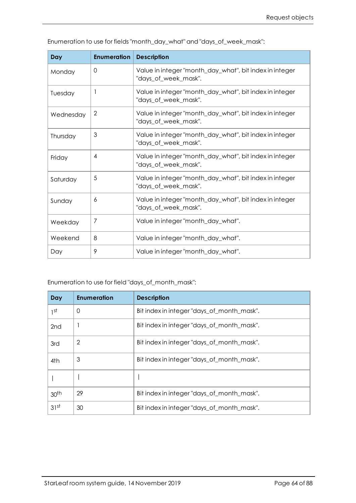| Day       | <b>Enumeration</b> | <b>Description</b>                                                              |
|-----------|--------------------|---------------------------------------------------------------------------------|
| Monday    | $\Omega$           | Value in integer "month_day_what", bit index in integer<br>"days_of_week_mask". |
| Tuesday   |                    | Value in integer "month_day_what", bit index in integer<br>"days_of_week_mask". |
| Wednesday | 2                  | Value in integer "month_day_what", bit index in integer<br>"days_of_week_mask". |
| Thursday  | 3                  | Value in integer "month_day_what", bit index in integer<br>"days_of_week_mask". |
| Friday    | $\overline{4}$     | Value in integer "month_day_what", bit index in integer<br>"days_of_week_mask". |
| Saturday  | 5                  | Value in integer "month_day_what", bit index in integer<br>"days_of_week_mask". |
| Sunday    | 6                  | Value in integer "month_day_what", bit index in integer<br>"days_of_week_mask". |
| Weekday   | 7                  | Value in integer "month_day_what".                                              |
| Weekend   | 8                  | Value in integer "month_day_what".                                              |
| Day       | 9                  | Value in integer "month_day_what".                                              |

Enumeration to use for fields "month\_day\_what" and "days\_of\_week\_mask":

Enumeration to use for field "days\_of\_month\_mask":

| Day              | <b>Enumeration</b> | <b>Description</b>                         |
|------------------|--------------------|--------------------------------------------|
| ιst              | 0                  | Bit index in integer "days_of_month_mask". |
| 2nd              |                    | Bit index in integer "days_of_month_mask". |
| 3rd              | 2                  | Bit index in integer "days_of_month_mask". |
| 4th              | 3                  | Bit index in integer "days_of_month_mask". |
|                  |                    |                                            |
| 30 <sup>th</sup> | 29                 | Bit index in integer "days_of_month_mask". |
| 31 <sup>st</sup> | 30                 | Bit index in integer "days_of_month_mask". |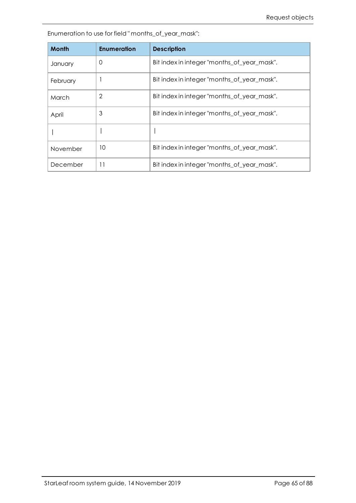Enumeration to use for field " months\_of\_year\_mask":

| <b>Month</b> | <b>Enumeration</b> | <b>Description</b>                          |
|--------------|--------------------|---------------------------------------------|
| January      | 0                  | Bit index in integer "months_of_year_mask". |
| February     |                    | Bit index in integer "months_of_year_mask". |
| March        | $\overline{2}$     | Bit index in integer "months of year mask". |
| April        | 3                  | Bit index in integer "months_of_year_mask". |
|              |                    |                                             |
| November     | 10                 | Bit index in integer "months of year mask". |
| December     | 11                 | Bit index in integer "months of year mask". |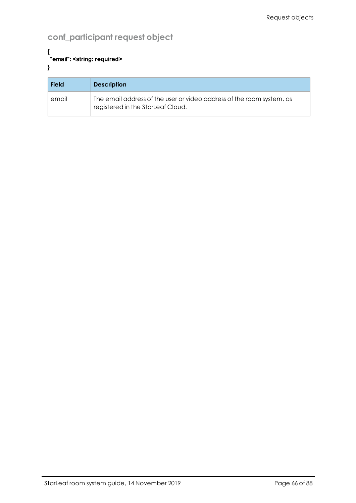## <span id="page-65-0"></span>**conf\_participant request object**

#### { "email": <string: required> }

| <b>Field</b> | <b>Description</b>                                                                                         |
|--------------|------------------------------------------------------------------------------------------------------------|
| email        | The email address of the user or video address of the room system, as<br>registered in the StarLeaf Cloud. |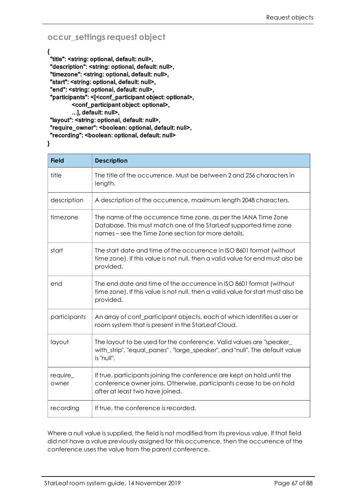## <span id="page-66-0"></span>**occur\_settings request object**

{ "title": <string: optional, default: null>, "description": <string: optional, default: null>, "timezone": <string: optional, default: null>, "start": <string: optional, default: null>, "end": <string: optional, default: null>, "participants": <[<conf\_participant object: optional>, <conf\_participant object: optional>, ...], default: null>, "layout": <string: optional, default: null>, "require\_owner": <boolean: optional, default: null>, "recording": <boolean: optional, default: null>

}

| <b>Field</b>      | <b>Description</b>                                                                                                                                                                          |
|-------------------|---------------------------------------------------------------------------------------------------------------------------------------------------------------------------------------------|
| title             | The title of the occurrence. Must be between 2 and 256 characters in<br>length.                                                                                                             |
| description       | A description of the occurrence, maximum length 2048 characters.                                                                                                                            |
| timezone          | The name of the occurrence time zone, as per the IANA Time Zone<br>Database. This must match one of the StarLeaf supported time zone<br>names – see the Time Zone section for more details. |
| start             | The start date and time of the occurrence in ISO 8601 format (without<br>time zone). If this value is not null, then a valid value for end must also be<br>provided.                        |
| end               | The end date and time of the occurrence in ISO 8601 format (without<br>time zone). If this value is not null, then a valid value for start must also be<br>provided.                        |
| participants      | An array of conf_participant objects, each of which identifies a user or<br>room system that is present in the StarLeaf Cloud.                                                              |
| layout            | The layout to be used for the conference. Valid values are "speaker<br>with_strip", "equal_panes", "large_speaker", and "null". The default value<br>is "null".                             |
| require_<br>owner | If true, participants joining the conference are kept on hold until the<br>conference owner joins. Otherwise, participants cease to be on hold<br>after at least two have joined.           |
| recording         | If true, the conference is recorded.                                                                                                                                                        |

Where a null value is supplied, the field is not modified from its previous value. If that field did not have a value previously assigned for this occurrence, then the occurrence of the conference uses the value from the parent conference.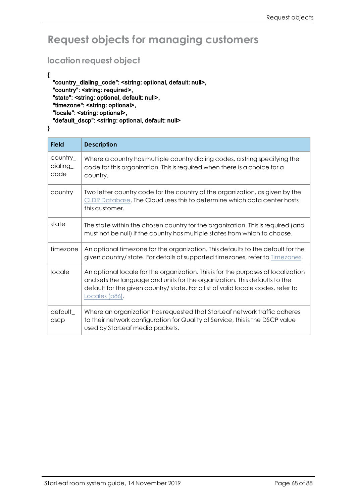# <span id="page-67-0"></span>**Request objects for managing customers**

## **location request object**

#### {

"country\_dialing\_code": <string: optional, default: null>, "country": <string: required>, "state": <string: optional, default: null>, "timezone": <string: optional>, "locale": <string: optional>, "default\_dscp": <string: optional, default: null>

}

| <b>Field</b>                           | <b>Description</b>                                                                                                                                                                                                                                                    |
|----------------------------------------|-----------------------------------------------------------------------------------------------------------------------------------------------------------------------------------------------------------------------------------------------------------------------|
| $\text{country}_-$<br>dialing_<br>code | Where a country has multiple country dialing codes, a string specifying the<br>code for this organization. This is required when there is a choice for a<br>country.                                                                                                  |
| country                                | Two letter country code for the country of the organization, as given by the<br>CLDR Database. The Cloud uses this to determine which data center hosts<br>this customer.                                                                                             |
| state                                  | The state within the chosen country for the organization. This is required (and<br>must not be null) if the country has multiple states from which to choose.                                                                                                         |
| timezone                               | An optional timezone for the organization. This defaults to the default for the<br>given country/ state. For details of supported timezones, refer to Timezones.                                                                                                      |
| locale                                 | An optional locale for the organization. This is for the purposes of localization<br>and sets the language and units for the organization. This defaults to the<br>default for the given country/ state. For a list of valid locale codes, refer to<br>Locales (p86). |
| default_<br>dscp                       | Where an organization has requested that StarLeaf network traffic adheres<br>to their network configuration for Quality of Service, this is the DSCP value<br>used by StarLeaf media packets.                                                                         |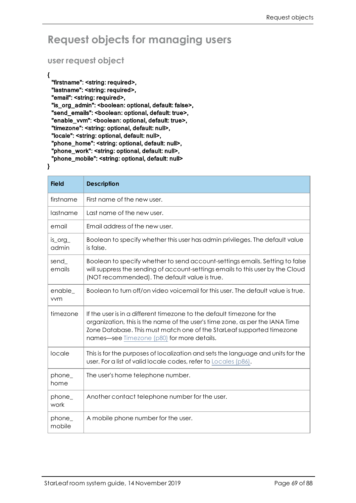# <span id="page-68-0"></span>**Request objects for managing users**

### **user request object**

#### {

}

"firstname": <string: required>, "lastname": <string: required>, "email": <string: required>, "is\_org\_admin": <boolean: optional, default: false>, "send\_emails": <boolean: optional, default: true>, "enable\_vvm": <boolean: optional, default: true>, "timezone": <string: optional, default: null>, "locale": <string: optional, default: null>, "phone\_home": <string: optional, default: null>, "phone\_work": <string: optional, default: null>, "phone\_mobile": <string: optional, default: null>

#### **Field Description** firstname  $\parallel$  First name of the new user.  $lastname$  Last name of the new user. email Email address of the new user. is\_org\_ admin Boolean to specify whether this user has admin privileges. The default value is false. send\_ emails Boolean to specify whether to send account-settings emails. Setting to false will suppress the sending of account-settings emails to this user by the Cloud (NOT recommended). The default value is true. enable\_ vvm Boolean to turn off/on video voicemail for this user. The default value is true. timezone  $\Box$  If the user is in a different timezone to the default timezone for the organization, this is the name of the user's time zone, as per the IANA Time Zone Database. This must match one of the StarLeaf supported timezone names—see [Timezone](#page-79-0) (p80) for more details.  $\vert$  locale  $\vert$  This is for the purposes of localization and sets the language and units for the user. For a list of valid locale codes, refer to [Locales](#page-85-0) (p86). phone\_ home The user's home telephone number. phone\_ work Another contact telephone number for the user. phone\_ mobile A mobile phone number for the user.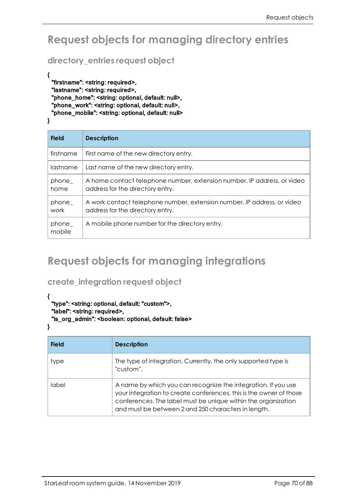# <span id="page-69-1"></span>**Request objects for managing directory entries**

## **directory\_entries request object**

```
{
 "firstname": <string: required>,
 "lastname": <string: required>,
 "phone_home": <string: optional, default: null>,
 "phone_work": <string: optional, default: null>,
 "phone_mobile": <string: optional, default: null>
```
}

| <b>Field</b>    | <b>Description</b>                                                                                          |
|-----------------|-------------------------------------------------------------------------------------------------------------|
| firstname       | First name of the new directory entry.                                                                      |
| lastname        | Last name of the new directory entry.                                                                       |
| phone<br>home   | A home contact telephone number, extension number, IP address, or video<br>address for the directory entry. |
| phone<br>work   | A work contact telephone number, extension number, IP address, or video<br>address for the directory entry. |
| phone<br>mobile | A mobile phone number for the directory entry.                                                              |

# <span id="page-69-2"></span>**Request objects for managing integrations**

## <span id="page-69-0"></span>**create\_integration request object**

{

```
"type": <string: optional, default: "custom">,
"label": <string: required>,
"is_org_admin": <boolean: optional, default: false>
```

```
}
```

| <b>Field</b> | <b>Description</b>                                                                                                                                                                                                                                          |
|--------------|-------------------------------------------------------------------------------------------------------------------------------------------------------------------------------------------------------------------------------------------------------------|
| type         | The type of integration. Currently, the only supported type is<br>"custom".                                                                                                                                                                                 |
| label        | A name by which you can recognize the integration. If you use<br>your integration to create conferences, this is the owner of those<br>conferences. The label must be unique within the organization<br>and must be between 2 and 250 characters in length. |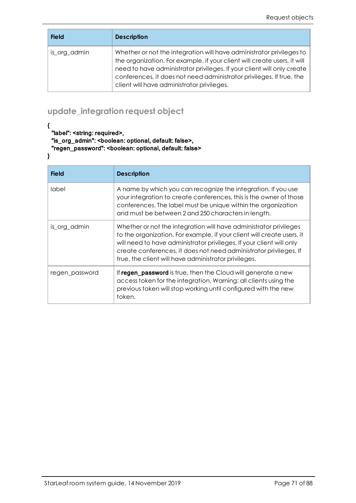| <b>Field</b> | <b>Description</b>                                                                                                                                                                                                                                                                                                                               |
|--------------|--------------------------------------------------------------------------------------------------------------------------------------------------------------------------------------------------------------------------------------------------------------------------------------------------------------------------------------------------|
| is_org_admin | Whether or not the integration will have administrator privileges to<br>the organization. For example, if your client will create users, it will<br>need to have administrator privileges. If your client will only create<br>conferences, it does not need administrator privileges. If true, the<br>client will have administrator privileges. |

## <span id="page-70-1"></span><span id="page-70-0"></span>**update\_integration request object**

"label": <string: required>,

"is\_org\_admin": <boolean: optional, default: false>,

"regen\_password": <boolean: optional, default: false>

}

{

| <b>Field</b>   | <b>Description</b>                                                                                                                                                                                                                                                                                                                               |
|----------------|--------------------------------------------------------------------------------------------------------------------------------------------------------------------------------------------------------------------------------------------------------------------------------------------------------------------------------------------------|
| label          | A name by which you can recognize the integration. If you use<br>your integration to create conferences, this is the owner of those<br>conferences. The label must be unique within the organization<br>and must be between 2 and 250 characters in length.                                                                                      |
| is_org_admin   | Whether or not the integration will have administrator privileges<br>to the organization. For example, if your client will create users, it<br>will need to have administrator privileges. If your client will only<br>create conferences, it does not need administrator privileges. If<br>true, the client will have administrator privileges. |
| regen password | If regen_password is true, then the Cloud will generate a new<br>access token for the integration. Warning: all clients using the<br>previous token will stop working until configured with the new<br>token.                                                                                                                                    |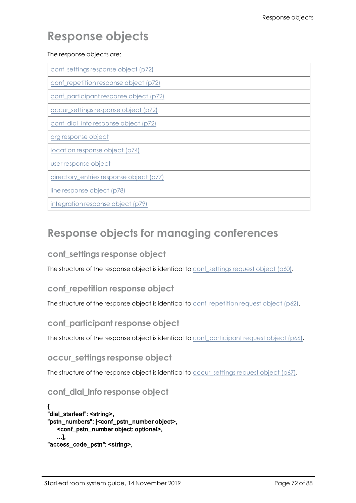# **Response objects**

The response objects are:

| conf_settings response object (p72)     |
|-----------------------------------------|
| conf_repetition response object (p72)   |
| conf_participant response object (p72)  |
| occur_settings response object (p72)    |
| conf_dial_info response object (p72)    |
| org response object                     |
| location response object (p74)          |
| user response object                    |
| directory_entries response object (p77) |
| line response object (p78)              |
| integration response object (p79)       |

## <span id="page-71-1"></span>**Response objects for managing conferences**

## **conf\_settings response object**

<span id="page-71-3"></span>The structure of the response object is identical to [conf\\_settings](#page-59-0) request object (p60).

## **conf\_repetition response object**

<span id="page-71-4"></span>The structure of the response object is identical to [conf\\_repetition](#page-61-0) request object (p62).

### **conf\_participant response object**

<span id="page-71-2"></span>The structure of the response object is identical to conferent contract request object (p66).

**occur\_settings response object**

<span id="page-71-0"></span>The structure of the response object is identical to occur settings request object (p67).

## **conf\_dial\_info response object**

{ "dial\_starleaf": <string>, "pstn\_numbers": [<conf\_pstn\_number object>, <conf\_pstn\_number object: optional>, ...], "access\_code\_pstn": <string>,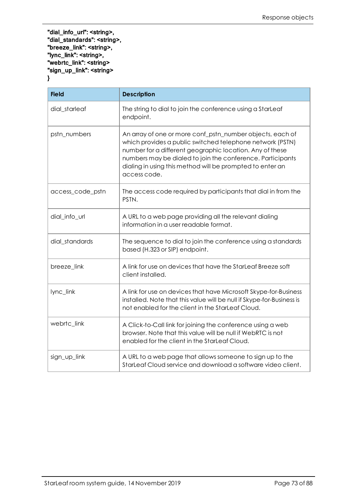"dial\_info\_url": <string>, "dial\_standards": <string>, "breeze\_link": <string>, "lync\_link": <string>, "webrtc\_link": <string> "sign\_up\_link": <string> }

| <b>Field</b>     | <b>Description</b>                                                                                                                                                                                                                                                                                                            |
|------------------|-------------------------------------------------------------------------------------------------------------------------------------------------------------------------------------------------------------------------------------------------------------------------------------------------------------------------------|
| dial_starleaf    | The string to dial to join the conference using a StarLeaf<br>endpoint.                                                                                                                                                                                                                                                       |
| pstn_numbers     | An array of one or more conf_pstn_number objects, each of<br>which provides a public switched telephone network (PSTN)<br>number for a different geographic location. Any of these<br>numbers may be dialed to join the conference. Participants<br>dialing in using this method will be prompted to enter an<br>access code. |
| access_code_pstn | The access code required by participants that dial in from the<br>PSTN.                                                                                                                                                                                                                                                       |
| dial_info_url    | A URL to a web page providing all the relevant dialing<br>information in a user readable format.                                                                                                                                                                                                                              |
| dial_standards   | The sequence to dial to join the conference using a standards<br>based (H.323 or SIP) endpoint.                                                                                                                                                                                                                               |
| breeze_link      | A link for use on devices that have the StarLeaf Breeze soft<br>client installed.                                                                                                                                                                                                                                             |
| lync_link        | A link for use on devices that have Microsoft Skype-for-Business<br>installed. Note that this value will be null if Skype-for-Business is<br>not enabled for the client in the StarLeaf Cloud.                                                                                                                                |
| webrtc_link      | A Click-to-Call link for joining the conference using a web<br>browser. Note that this value will be null if WebRTC is not<br>enabled for the client in the StarLeaf Cloud.                                                                                                                                                   |
| sign_up_link     | A URL to a web page that allows someone to sign up to the<br>StarLeaf Cloud service and download a software video client.                                                                                                                                                                                                     |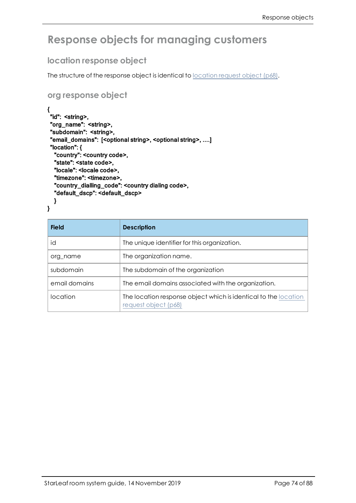# **Response objects for managing customers**

#### **location response object**

The structure of the response object is identical to [location](#page-67-0) request object (p68).

#### **org response object**

```
{
 "id": <string>,
 "org_name": <string>,
 "subdomain": <string>,
 "email_domains": [<optional string>, <optional string>, ....]
 "location": {
  "country": <country code>,
  "state": <state code>,
  "locale": <locale code>,
  "timezone": <timezone>,
  "country_dialling_code": <country dialing code>,
  "default_dscp": <default_dscp>
  }
}
```

| <b>Field</b>  | <b>Description</b>                                                                      |
|---------------|-----------------------------------------------------------------------------------------|
| id            | The unique identifier for this organization.                                            |
| org name      | The organization name.                                                                  |
| subdomain     | The subdomain of the organization                                                       |
| email domains | The email domains associated with the organization.                                     |
| location      | The location response object which is identical to the location<br>request object (p68) |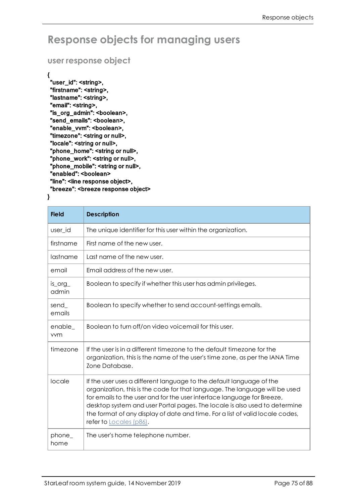## **Response objects for managing users**

#### **user response object**

{

.<br>"user\_id": <string>, "firstname": <string>, "lastname": <string>, "email": <string>, "is\_org\_admin": <boolean>, "send\_emails": <boolean>, "enable\_vvm": <boolean>, "timezone": <string or null>, "locale": <string or null>, "phone\_home": <string or null>, "phone\_work": <string or null>, "phone\_mobile": <string or null>, "enabled": <boolean> "line": <line response object>, "breeze": <breeze response object>

}

| <b>Field</b>     | <b>Description</b>                                                                                                                                                                                                                                                                                                                                                                                                      |
|------------------|-------------------------------------------------------------------------------------------------------------------------------------------------------------------------------------------------------------------------------------------------------------------------------------------------------------------------------------------------------------------------------------------------------------------------|
| user id          | The unique identifier for this user within the organization.                                                                                                                                                                                                                                                                                                                                                            |
| firstname        | First name of the new user.                                                                                                                                                                                                                                                                                                                                                                                             |
| lastname         | Last name of the new user.                                                                                                                                                                                                                                                                                                                                                                                              |
| email            | Email address of the new user.                                                                                                                                                                                                                                                                                                                                                                                          |
| is_org_<br>admin | Boolean to specify if whether this user has admin privileges.                                                                                                                                                                                                                                                                                                                                                           |
| send<br>emails   | Boolean to specify whether to send account-settings emails.                                                                                                                                                                                                                                                                                                                                                             |
| enable_<br>vvm   | Boolean to turn off/on video voicemail for this user.                                                                                                                                                                                                                                                                                                                                                                   |
| timezone         | If the user is in a different timezone to the default timezone for the<br>organization, this is the name of the user's time zone, as per the IANA Time<br>Zone Database.                                                                                                                                                                                                                                                |
| locale           | If the user uses a different language to the default language of the<br>organization, this is the code for that language. The language will be used<br>for emails to the user and for the user interface language for Breeze,<br>desktop system and user Portal pages. The locale is also used to determine<br>the format of any display of date and time. For a list of valid locale codes,<br>refer to Locales (p86). |
| phone_<br>home   | The user's home telephone number.                                                                                                                                                                                                                                                                                                                                                                                       |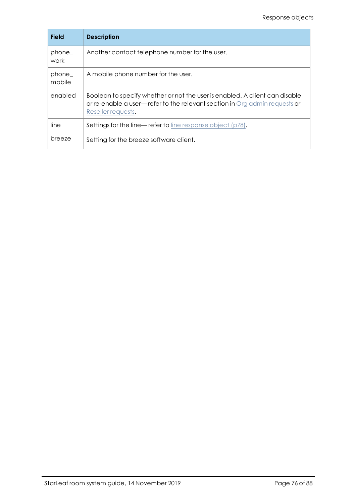| <b>Field</b>    | <b>Description</b>                                                                                                                                                              |
|-----------------|---------------------------------------------------------------------------------------------------------------------------------------------------------------------------------|
| phone_<br>work  | Another contact telephone number for the user.                                                                                                                                  |
| phone<br>mobile | A mobile phone number for the user.                                                                                                                                             |
| enabled         | Boolean to specify whether or not the user is enabled. A client can disable<br>or re-enable a user-refer to the relevant section in Org admin requests or<br>Reseller requests. |
| line            | Settings for the line—refer to line response object (p78).                                                                                                                      |
| breeze          | Setting for the breeze software client.                                                                                                                                         |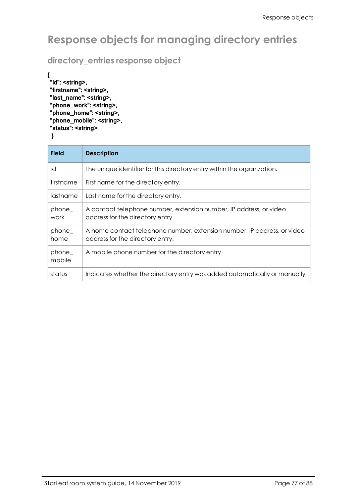# **Response objects for managing directory entries**

**directory\_entries response object**

```
{
.<br>"id": <string>,
 "firstname": <string>,
"last_name": <string>,
"phone_work": <string>,
 "phone_home": <string>,
"phone_mobile": <string>,
"status": <string>
 }
```

| <b>Field</b>    | <b>Description</b>                                                                                          |
|-----------------|-------------------------------------------------------------------------------------------------------------|
| id              | The unique identifier for this directory entry within the organization.                                     |
| firstname       | First name for the directory entry.                                                                         |
| lastname        | Last name for the directory entry.                                                                          |
| phone<br>work   | A contact telephone number, extension number, IP address, or video<br>address for the directory entry.      |
| phone_<br>home  | A home contact telephone number, extension number, IP address, or video<br>address for the directory entry. |
| phone<br>mobile | A mobile phone number for the directory entry.                                                              |
| status          | Indicates whether the directory entry was added automatically or manually                                   |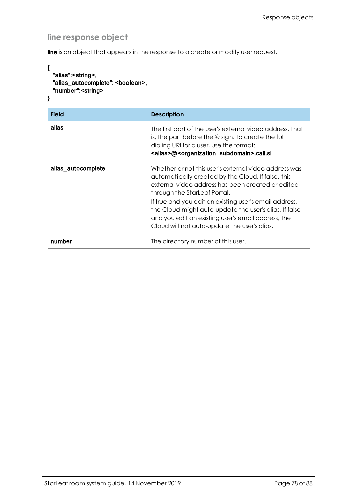### <span id="page-77-0"></span>**line response object**

line is an object that appears in the response to a create or modify user request.

```
{
  "alias":<string>,
  "alias_autocomplete": <boolean>,
  "number":<string>
}
```

| <b>Field</b>       | <b>Description</b>                                                                                                                                                                                                                        |
|--------------------|-------------------------------------------------------------------------------------------------------------------------------------------------------------------------------------------------------------------------------------------|
| alias              | The first part of the user's external video address. That<br>is, the part before the $@$ sign. To create the full<br>dialing URI for a user, use the format:<br><alias>@<organization_subdomain>.call.sl</organization_subdomain></alias> |
| alias_autocomplete | Whether or not this user's external video address was<br>automatically created by the Cloud. If false, this<br>external video address has been created or edited<br>through the StarLeaf Portal.                                          |
|                    | If true and you edit an existing user's email address,<br>the Cloud might auto-update the user's alias. If false<br>and you edit an existing user's email address, the<br>Cloud will not auto-update the user's alias.                    |
| number             | The directory number of this user.                                                                                                                                                                                                        |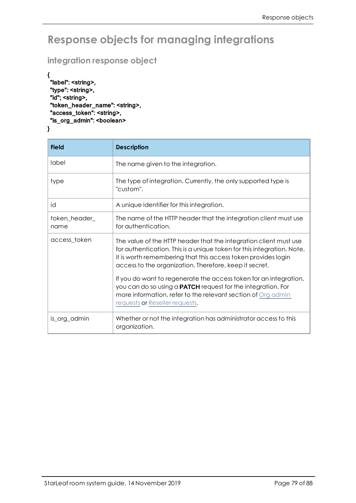# **Response objects for managing integrations**

### **integration response object**

```
{ 
 "label": <string>,
 "type": <string>,
"id"; <string>,
"token_header_name": <string>,
"access_token": <string>,
"is_org_admin": <boolean>
}
```

| <b>Field</b>          | <b>Description</b>                                                                                                                                                                                                                                                                                                                                                                                                                                                                 |
|-----------------------|------------------------------------------------------------------------------------------------------------------------------------------------------------------------------------------------------------------------------------------------------------------------------------------------------------------------------------------------------------------------------------------------------------------------------------------------------------------------------------|
| label                 | The name given to the integration.                                                                                                                                                                                                                                                                                                                                                                                                                                                 |
| type                  | The type of integration. Currently, the only supported type is<br>"custom".                                                                                                                                                                                                                                                                                                                                                                                                        |
| id                    | A unique identifier for this integration.                                                                                                                                                                                                                                                                                                                                                                                                                                          |
| token_header_<br>name | The name of the HTTP header that the integration client must use<br>for authentication.                                                                                                                                                                                                                                                                                                                                                                                            |
| access_token          | The value of the HTTP header that the integration client must use<br>for authentication. This is a unique token for this integration. Note,<br>it is worth remembering that this access token provides login<br>access to the organization. Therefore, keep it secret.<br>If you do want to regenerate the access token for an integration,<br>you can do so using a <b>PATCH</b> request for the integration. For<br>more information, refer to the relevant section of Org admin |
|                       | requests or Reseller requests.                                                                                                                                                                                                                                                                                                                                                                                                                                                     |
| is_org_admin          | Whether or not the integration has administrator access to this<br>organization.                                                                                                                                                                                                                                                                                                                                                                                                   |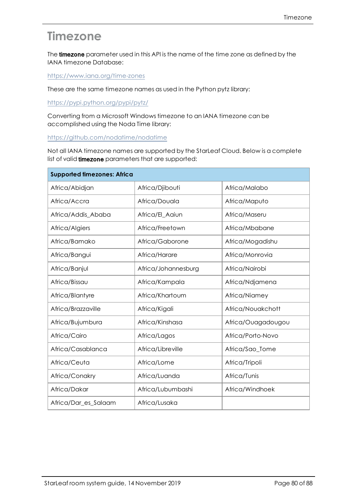# **Timezone**

The timezone parameter used in this API is the name of the time zone as defined by the IANA timezone Database:

<https://www.iana.org/time-zones>

These are the same timezone names as used in the Python pytz library:

<https://pypi.python.org/pypi/pytz/>

Converting from a Microsoft Windows timezone to an IANA timezone can be accomplished using the Noda Time library:

<https://github.com/nodatime/nodatime>

Not all IANA timezone names are supported by the StarLeaf Cloud. Below is a complete list of valid **timezone** parameters that are supported:

| <b>Supported timezones: Africa</b> |                     |                    |  |
|------------------------------------|---------------------|--------------------|--|
| Africa/Abidjan                     | Africa/Djibouti     | Africa/Malabo      |  |
| Africa/Accra                       | Africa/Douala       | Africa/Maputo      |  |
| Africa/Addis_Ababa                 | Africa/El_Aaiun     | Africa/Maseru      |  |
| Africa/Algiers                     | Africa/Freetown     | Africa/Mbabane     |  |
| Africa/Bamako                      | Africa/Gaborone     | Africa/Mogadishu   |  |
| Africa/Bangui                      | Africa/Harare       | Africa/Monrovia    |  |
| Africa/Banjul                      | Africa/Johannesburg | Africa/Nairobi     |  |
| Africa/Bissau                      | Africa/Kampala      | Africa/Ndjamena    |  |
| Africa/Blantyre                    | Africa/Khartoum     | Africa/Niamey      |  |
| Africa/Brazzaville                 | Africa/Kigali       | Africa/Nouakchott  |  |
| Africa/Bujumbura                   | Africa/Kinshasa     | Africa/Ouagadougou |  |
| Africa/Cairo                       | Africa/Lagos        | Africa/Porto-Novo  |  |
| Africa/Casablanca                  | Africa/Libreville   | Africa/Sao_Tome    |  |
| Africa/Ceuta                       | Africa/Lome         | Africa/Tripoli     |  |
| Africa/Conakry                     | Africa/Luanda       | Africa/Tunis       |  |
| Africa/Dakar                       | Africa/Lubumbashi   | Africa/Windhoek    |  |
| Africa/Dar_es_Salaam               | Africa/Lusaka       |                    |  |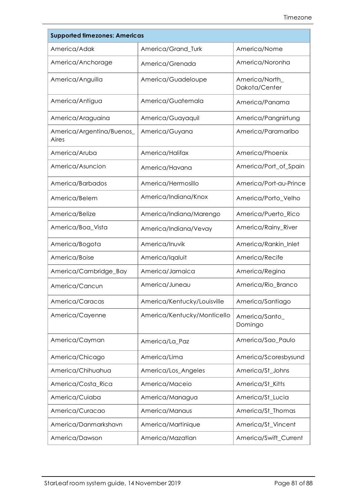| <b>Supported timezones: Americas</b> |                             |                                 |  |
|--------------------------------------|-----------------------------|---------------------------------|--|
| America/Adak                         | America/Grand_Turk          | America/Nome                    |  |
| America/Anchorage                    | America/Grenada             | America/Noronha                 |  |
| America/Anguilla                     | America/Guadeloupe          | America/North_<br>Dakota/Center |  |
| America/Antigua                      | America/Guatemala           | America/Panama                  |  |
| America/Araguaina                    | America/Guayaquil           | America/Pangnirtung             |  |
| America/Argentina/Buenos_<br>Aires   | America/Guyana              | America/Paramaribo              |  |
| America/Aruba                        | America/Halifax             | America/Phoenix                 |  |
| America/Asuncion                     | America/Havana              | America/Port_of_Spain           |  |
| America/Barbados                     | America/Hermosillo          | America/Port-au-Prince          |  |
| America/Belem                        | America/Indiana/Knox        | America/Porto_Velho             |  |
| America/Belize                       | America/Indiana/Marengo     | America/Puerto_Rico             |  |
| America/Boa_Vista                    | America/Indiana/Vevay       | America/Rainy_River             |  |
| America/Bogota                       | America/Inuvik              | America/Rankin_Inlet            |  |
| America/Boise                        | America/Iqaluit             | America/Recife                  |  |
| America/Cambridge_Bay                | America/Jamaica             | America/Regina                  |  |
| America/Cancun                       | America/Juneau              | America/Rio_Branco              |  |
| America/Caracas                      | America/Kentucky/Louisville | America/Santiago                |  |
| America/Cayenne                      | America/Kentucky/Monticello | America/Santo_<br>Domingo       |  |
| America/Cayman                       | America/La_Paz              | America/Sao_Paulo               |  |
| America/Chicago                      | America/Lima                | America/Scoresbysund            |  |
| America/Chihuahua                    | America/Los_Angeles         | America/St_Johns                |  |
| America/Costa_Rica                   | America/Maceio              | America/St_Kitts                |  |
| America/Cuiaba                       | America/Managua             | America/St_Lucia                |  |
| America/Curacao                      | America/Manaus              | America/St_Thomas               |  |
| America/Danmarkshavn                 | America/Martinique          | America/St_Vincent              |  |
| America/Dawson                       | America/Mazatlan            | America/Swift_Current           |  |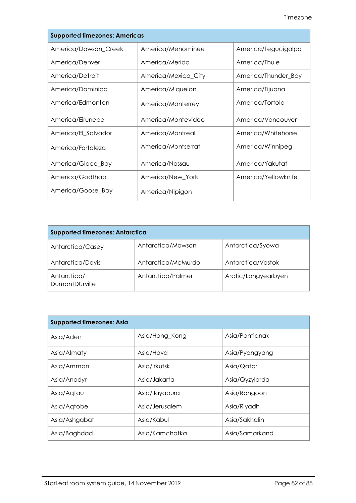| <b>Supported timezones: Americas</b> |                     |                     |
|--------------------------------------|---------------------|---------------------|
| America/Dawson_Creek                 | America/Menominee   | America/Tegucigalpa |
| America/Denver                       | America/Merida      | America/Thule       |
| America/Detroit                      | America/Mexico_City | America/Thunder_Bay |
| America/Dominica                     | America/Miquelon    | America/Tijuana     |
| America/Edmonton                     | America/Monterrey   | America/Tortola     |
| America/Eirunepe                     | America/Montevideo  | America/Vancouver   |
| America/El_Salvador                  | America/Montreal    | America/Whitehorse  |
| America/Fortaleza                    | America/Montserrat  | America/Winnipeg    |
| America/Glace_Bay                    | America/Nassau      | America/Yakutat     |
| America/Godthab                      | America/New_York    | America/Yellowknife |
| America/Goose_Bay                    | America/Nipigon     |                     |

| <b>Supported timezones: Antarctica</b> |                    |                     |  |
|----------------------------------------|--------------------|---------------------|--|
| Antarctica/Casey                       | Antarctica/Mawson  | Antarctica/Syowa    |  |
| Antarctica/Davis                       | Antarctica/McMurdo | Antarctica/Vostok   |  |
| Antarctica/<br><b>DumontDUrville</b>   | Antarctica/Palmer  | Arctic/Longyearbyen |  |

| <b>Supported timezones: Asia</b> |                |                |  |
|----------------------------------|----------------|----------------|--|
| Asia/Aden                        | Asia/Hong_Kong | Asia/Pontianak |  |
| Asia/Almaty                      | Asia/Hovd      | Asia/Pyongyang |  |
| Asia/Amman                       | Asia/Irkutsk   | Asia/Qatar     |  |
| Asia/Anadyr                      | Asia/Jakarta   | Asia/Qyzylorda |  |
| Asia/Aqtau                       | Asia/Jayapura  | Asia/Rangoon   |  |
| Asia/Aqtobe                      | Asia/Jerusalem | Asia/Riyadh    |  |
| Asia/Ashgabat                    | Asia/Kabul     | Asia/Sakhalin  |  |
| Asia/Baghdad                     | Asia/Kamchatka | Asia/Samarkand |  |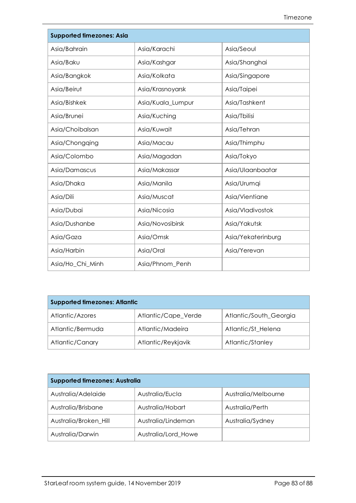| <b>Supported timezones: Asia</b> |                   |                    |
|----------------------------------|-------------------|--------------------|
| Asia/Bahrain                     | Asia/Karachi      | Asia/Seoul         |
| Asia/Baku                        | Asia/Kashgar      | Asia/Shanghai      |
| Asia/Bangkok                     | Asia/Kolkata      | Asia/Singapore     |
| Asia/Beirut                      | Asia/Krasnoyarsk  | Asia/Taipei        |
| Asia/Bishkek                     | Asia/Kuala_Lumpur | Asia/Tashkent      |
| Asia/Brunei                      | Asia/Kuching      | Asia/Tbilisi       |
| Asia/Choibalsan                  | Asia/Kuwait       | Asia/Tehran        |
| Asia/Chongqing                   | Asia/Macau        | Asia/Thimphu       |
| Asia/Colombo                     | Asia/Magadan      | Asia/Tokyo         |
| Asia/Damascus                    | Asia/Makassar     | Asia/Ulaanbaatar   |
| Asia/Dhaka                       | Asia/Manila       | Asia/Urumqi        |
| Asia/Dili                        | Asia/Muscat       | Asia/Vientiane     |
| Asia/Dubai                       | Asia/Nicosia      | Asia/Vladivostok   |
| Asia/Dushanbe                    | Asia/Novosibirsk  | Asia/Yakutsk       |
| Asia/Gaza                        | Asia/Omsk         | Asia/Yekaterinburg |
| Asia/Harbin                      | Asia/Oral         | Asia/Yerevan       |
| Asia/Ho_Chi_Minh                 | Asia/Phnom_Penh   |                    |

| <b>Supported timezones: Atlantic</b> |                     |                        |
|--------------------------------------|---------------------|------------------------|
| Atlantic/Azores                      | Atlantic/Cape_Verde | Atlantic/South_Georgia |
| Atlantic/Bermuda                     | Atlantic/Madeira    | Atlantic/St_Helena     |
| Atlantic/Canary                      | Atlantic/Reykjavik  | Atlantic/Stanley       |

| <b>Supported timezones: Australia</b> |                     |                     |
|---------------------------------------|---------------------|---------------------|
| Australia/Adelaide                    | Australia/Eucla     | Australia/Melbourne |
| Australia/Brisbane                    | Australia/Hobart    | Australia/Perth     |
| Australia/Broken Hill                 | Australia/Lindeman  | Australia/Sydney    |
| Australia/Darwin                      | Australia/Lord_Howe |                     |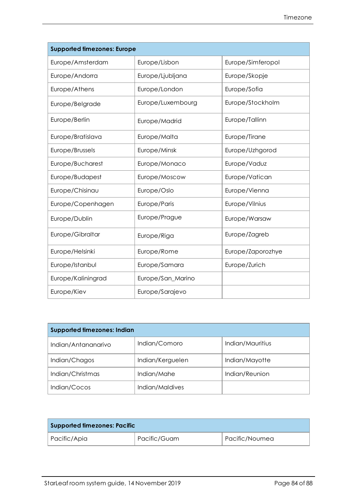| <b>Supported timezones: Europe</b> |                   |                   |
|------------------------------------|-------------------|-------------------|
| Europe/Amsterdam                   | Europe/Lisbon     | Europe/Simferopol |
| Europe/Andorra                     | Europe/Ljubljana  | Europe/Skopje     |
| Europe/Athens                      | Europe/London     | Europe/Sofia      |
| Europe/Belgrade                    | Europe/Luxembourg | Europe/Stockholm  |
| Europe/Berlin                      | Europe/Madrid     | Europe/Tallinn    |
| Europe/Bratislava                  | Europe/Malta      | Europe/Tirane     |
| Europe/Brussels                    | Europe/Minsk      | Europe/Uzhgorod   |
| Europe/Bucharest                   | Europe/Monaco     | Europe/Vaduz      |
| Europe/Budapest                    | Europe/Moscow     | Europe/Vatican    |
| Europe/Chisinau                    | Europe/Oslo       | Europe/Vienna     |
| Europe/Copenhagen                  | Europe/Paris      | Europe/Vilnius    |
| Europe/Dublin                      | Europe/Prague     | Europe/Warsaw     |
| Europe/Gibraltar                   | Europe/Riga       | Europe/Zagreb     |
| Europe/Helsinki                    | Europe/Rome       | Europe/Zaporozhye |
| Europe/Istanbul                    | Europe/Samara     | Europe/Zurich     |
| Europe/Kaliningrad                 | Europe/San_Marino |                   |
| Europe/Kiev                        | Europe/Sarajevo   |                   |

| <b>Supported timezones: Indian</b> |                  |                  |
|------------------------------------|------------------|------------------|
| Indian/Antananarivo                | Indian/Comoro    | Indian/Mauritius |
| Indian/Chagos                      | Indian/Kerguelen | Indian/Mayotte   |
| Indian/Christmas                   | Indian/Mahe      | Indian/Reunion   |
| Indian/Cocos                       | Indian/Maldives  |                  |

| <b>Supported timezones: Pacific</b> |              |                |
|-------------------------------------|--------------|----------------|
| Pacific/Apia                        | Pacific/Guam | Pacific/Noumea |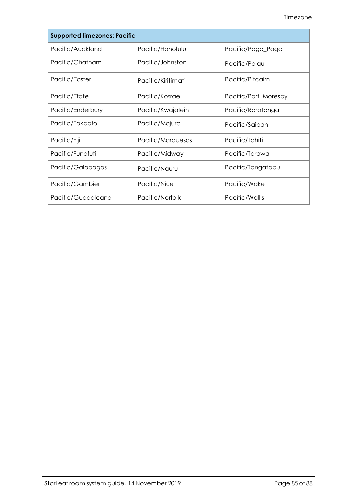| <b>Supported timezones: Pacific</b> |                    |                      |
|-------------------------------------|--------------------|----------------------|
| Pacific/Auckland                    | Pacific/Honolulu   | Pacific/Pago_Pago    |
| Pacific/Chatham                     | Pacific/Johnston   | Pacific/Palau        |
| Pacific/Easter                      | Pacific/Kiritimati | Pacific/Pitcairn     |
| Pacific/Efate                       | Pacific/Kosrae     | Pacific/Port_Moresby |
| Pacific/Enderbury                   | Pacific/Kwajalein  | Pacific/Rarotonga    |
| Pacific/Fakaofo                     | Pacific/Majuro     | Pacific/Saipan       |
| Pacific/Fiji                        | Pacific/Marquesas  | Pacific/Tahiti       |
| Pacific/Funafuti                    | Pacific/Midway     | Pacific/Tarawa       |
| Pacific/Galapagos                   | Pacific/Nauru      | Pacific/Tongatapu    |
| Pacific/Gambier                     | Pacific/Niue       | Pacific/Wake         |
| Pacific/Guadalcanal                 | Pacific/Norfolk    | Pacific/Wallis       |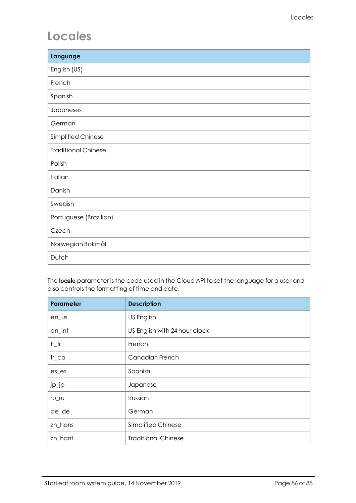# <span id="page-85-0"></span>**Locales**

| Language                   |
|----------------------------|
| English (US)               |
| French                     |
| Spanish                    |
| Japaneses                  |
| German                     |
| Simplified Chinese         |
| <b>Traditional Chinese</b> |
| Polish                     |
| Italian                    |
| Danish                     |
| Swedish                    |
| Portuguese (Brazilian)     |
| Czech                      |
| Norwegian Bokmål           |
| Dutch                      |

The **locale** parameter is the code used in the Cloud API to set the language for a user and also controls the formatting of time and date.

| <b>Parameter</b> | <b>Description</b>            |
|------------------|-------------------------------|
| en us            | US English                    |
| en_int           | US English with 24 hour clock |
| $fr_f$ r         | French                        |
| $fr\_ca$         | Canadian French               |
| $es$ $es$        | Spanish                       |
| jp_jp            | Japanese                      |
| $rU_r$           | Russian                       |
| de_de            | German                        |
| zh_hans          | Simplified Chinese            |
| zh_hant          | <b>Traditional Chinese</b>    |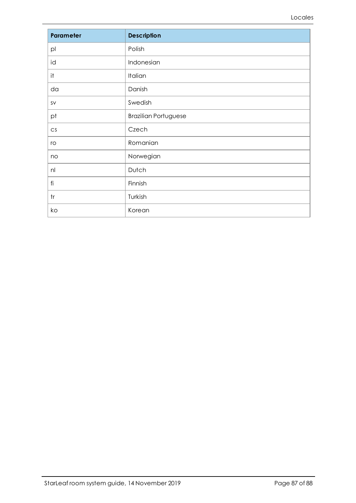| Parameter            | <b>Description</b>          |
|----------------------|-----------------------------|
| pl                   | Polish                      |
| id                   | Indonesian                  |
| it                   | Italian                     |
| da                   | Danish                      |
| SV                   | Swedish                     |
| pt                   | <b>Brazilian Portuguese</b> |
| $\mathsf{CS}\xspace$ | Czech                       |
| ro                   | Romanian                    |
| no                   | Norwegian                   |
| n                    | Dutch                       |
| fi                   | Finnish                     |
| tr                   | Turkish                     |
| ko                   | Korean                      |